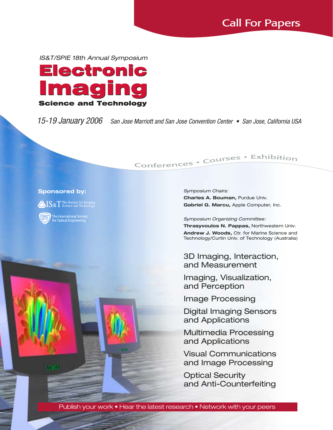IS&T/SPIE 18th Annual Symposium



15-19 January 2006 San Jose Marriott and San Jose Convention Center • San Jose, California USA

# Conferences · Courses · Exhibition

### **Sponsored by:**

 $\triangle$ IS & T The Society for In

The International Society<br>for Optical Engineering



**Charles A. Bouman,** Purdue Univ. **Gabriel G. Marcu,** Apple Computer, Inc.

Symposium Organizing Committee:

**Thrasyvoulos N. Pappas,** Northwestern Univ. **Andrew J. Woods,** Ctr. for Marine Science and Technology/Curtin Univ. of Technology (Australia)

3D Imaging, Interaction, and Measurement

Imaging, Visualization, and Perception

Image Processing

Digital Imaging Sensors and Applications

Multimedia Processing and Applications

Visual Communications and Image Processing

Optical Security and Anti-Counterfeiting

Publish your work • Hear the latest research • Network with your peers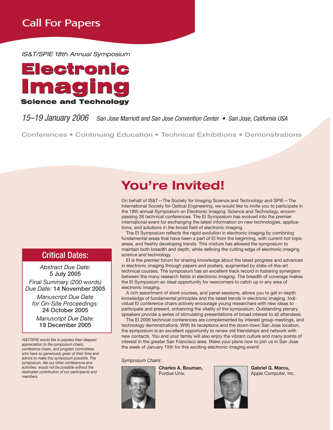IS&T/SPIE 18th Annual Symposium



### 15–19 January 2006 San Jose Marriott and San Jose Convention Center • San Jose, California USA

**Conferences • Continuing Education • Technical Exhibitions • Demonstrations**

### Critical Dates:

*Abstract Due Date:* **5 July 2005**

*Final Summary (200 words) Due Date:* **14 November 2005**

*Manuscript Due Date for On-Site Proceedings:* **24 October 2005**

*Manuscript Due Date:* **19 December 2005**

*IS&T/SPIE would like to express their deepest appreciation to the symposium chairs, conference chairs, and program committees who have so generously given of their time and advice to make this symposium possible. The symposium, like our other conferences and activities, would not be possible without the dedicated contribution of our participants and members.*

# **You're Invited!**

On behalf of IS&T—The Society for Imaging Science and Technology and SPIE—The International Society for Optical Engineering, we would like to invite you to participate in the 18th annual Symposium on Electronic Imaging: Science and Technology, encompassing 26 technical conferences. The EI Symposium has evolved into the premier international event for exchanging the latest information on new technologies, applications, and solutions in the broad field of electronic imaging.

The EI Symposium reflects the rapid evolution in electronic imaging by combining fundamental areas that have been a part of EI from the beginning, with current hot topic areas, and freshly developing trends. This mixture has allowed the symposium to maintain both breadth and depth, while defining the cutting edge of electronic imaging science and technology.

EI is the premier forum for sharing knowledge about the latest progress and advances in electronic imaging through papers and posters, augmented by state-of-the-art technical courses. The symposium has an excellent track record in fostering synergism between the many research fields in electronic imaging. The breadth of coverage makes the EI Symposium an ideal opportunity for newcomers to catch up in any area of electronic imaging.

A rich assortment of short courses, and panel sessions, allows you to get in-depth knowledge of fundamental principles and the latest trends in electronic imaging. Individual EI conference chairs actively encourage young researchers with new ideas to participate and present, enhancing the vitality of the symposium. Outstanding plenary speakers provide a series of stimulating presentations of broad interest to all attendees.

The EI 2006 technical conferences are complemented by interest group meetings, and technology demonstrations. With its receptions and the down-town San Jose location, the symposium is an excellent opportunity to renew old friendships and network with new contacts. You and your family will also enjoy the vibrant culture and many points of interest in the greater San Francisco area. Make your plans now to join us in San Jose the week of January 15th for this exciting electronic imaging event!

*Symposium Chairs:*



**Charles A. Bouman,** Purdue Univ.



**Gabriel G. Marcu,** Apple Computer, Inc.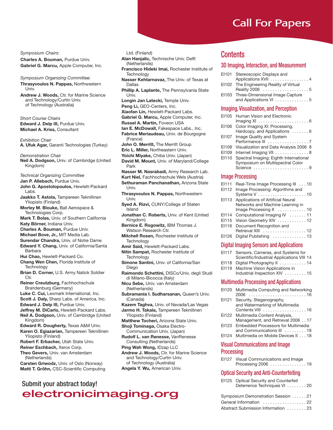*Symposium Chairs:*

**Charles A. Bouman,** Purdue Univ. **Gabriel G. Marcu,** Apple Computer, Inc.

*Symposium Organizing Committee:* **Thrasyvoulos N. Pappas,** Northwestern Univ.

**Andrew J. Woods,** Ctr. for Marine Science and Technology/Curtin Univ. of Technology (Australia)

*Short Course Chairs* **Edward J. Delp III,** Purdue Univ. **Michael A. Kriss,** Consultant

*Exhibition Chair* **A. Ufuk Agar,** Garanti Technologies (Turkey)

*Demonstration Chair*

- **Neil A. Dodgson,** Univ. of Cambridge (United Kingdom)
- *Technical Organizing Committee*

**Jan P. Allebach,** Purdue Univ.

- **John G. Apostolopoulos,** Hewlett-Packard Labs.
- **Jaakko T. Astola,** Tampereen Teknillinen Yliopisto (Finland)

**Morley M. Blouke,** Ball Aerospace & Technologies Corp.

**Mark T. Bolas,** Univ. of Southern California **Katy Börner,** Indiana Univ.

**Charles A. Bouman,** Purdue Univ.

- **Michael Bove, Jr.,** MIT Media Lab.
- **Surendar Chandra,** Univ. of Notre Dame
- **Edward Y. Chang,** Univ. of California/Santa Barbara
- **Hui Chao,** Hewlett-Packard Co.
- **Chang Wen Chen,** Florida Institute of Technology
- **Brian D. Corner,** U.S. Army Natick Soldier Ctr.

**Reiner Creutzburg,** Fachhochschule Brandenburg (Germany)

**Luke C. Cui,** Lexmark International, Inc.

**Scott J. Daly,** Sharp Labs. of America, Inc.

**Edward J. Delp III,** Purdue Univ.

- **Jeffrey M. DiCarlo,** Hewlett-Packard Labs. **Neil A. Dodgson,** Univ. of Cambridge (United Kingdom)
- **Edward R. Dougherty,** Texas A&M Univ. **Karen O. Egiazarian,** Tampereen Teknillinen
- Yliopisto (Finland)

**Robert F. Erbacher,** Utah State Univ.

**Reiner Eschbach,** Xerox Corp. **Theo Gevers,** Univ. van Amsterdam

(Netherlands)

**Carsten Griwodz,** Univ. of Oslo (Norway) **Matti T. Gröhn,** CSC-Scientific Computing

### Submit your abstract today!

electronicimaging.org

Ltd. (Finland)

**Alan Hanjalic,** Technische Univ. Delft (Netherlands)

- **Francisco Hideki Imai,** Rochester Institute of **Technology**
- **Nasser Kehtarnavaz,** The Univ. of Texas at Dallas
- **Phillip A. Laplante,** The Pennsylvania State Univ.

**Longin Jan Latecki,** Temple Univ.

**Peng Li,** GEO-Centers, Inc.

**Xiaofan Lin,** Hewlett-Packard Labs.

**Gabriel G. Marcu,** Apple Computer, Inc.

- **Russel A. Martin,** Foveon USA
- **Ian E. McDowall,** Fakespace Labs., Inc.

**Fabrice Meriaudeau,** Univ. de Bourgogne (France)

- **John O. Merritt,** The Merritt Group
- **Eric L. Miller,** Northeastern Univ.
- **Yoichi Miyake,** Chiba Univ. (Japan) **David M. Mount,** Univ. of Maryland/College Park
- **Nasser M. Nasrabadi,** Army Research Lab.
- **Kurt Niel,** Fachhochschule Wels (Austria) **Sethuraman Panchanathan,** Arizona State Univ.

**Thrasyvoulos N. Pappas,** Northwestern Univ.

- **Syed A. Rizvi,** CUNY/College of Staten Island
- **Jonathan C. Roberts,** Univ. of Kent (United Kingdom)
- **Bernice E. Rogowitz,** IBM Thomas J. Watson Research Ctr.
- **Mitchell Rosen,** Rochester Institute of **Technology**
- **Amir Said,** Hewlett-Packard Labs.

**Nitin Sampat,** Rochester Institute of **Technology** 

- **Simone Santini,** Univ. of California/San Diego
- **Raimondo Schettini,** DISCo/Univ. degli Studi di Milano-Bicocca (Italy)

**Nicu Sebe,** Univ. van Amsterdam (Netherlands)

**Subramania I. Sudharsanan,** Queen's Univ. (Canada)

- **Kazem Taghva,** Univ. of Nevada/Las Vegas
- **Jarmo H. Takala,** Tampereen Teknillinen Yliopisto (Finland)
- **Matthew Tocheri,** Arizona State Univ. **Shoji Tominaga,** Osaka Electro-Communication Univ. (Japan)
- **Rudolf L. van Renesse,** VanRenesse Consulting (Netherlands)
- **Ping Wah Wong,** IDzap LLC
- **Andrew J. Woods,** Ctr. for Marine Science and Technology/Curtin Univ. of Technology (Australia) **Angela Y. Wu,** American Univ.

### **Contents**

### 3D Imaging, Interaction, and Measurement

| EI101 Stereoscopic Displays and          |  |
|------------------------------------------|--|
| Applications XVII 4                      |  |
| EI102 The Engineering Reality of Virtual |  |
|                                          |  |
| EI103 Three-Dimensional Image Capture    |  |
| and Applications VI 5                    |  |

### Imaging, Visualization, and Perception

| EI105                   | Human Vision and Electronic<br>Imaging XI $\ldots \ldots \ldots \ldots \ldots \ldots \ldots 6$ |  |
|-------------------------|------------------------------------------------------------------------------------------------|--|
| EI106                   | Color Imaging XI: Processing,<br>Hardcopy, and Applications  6                                 |  |
| EI107                   | <b>Image Quality and System</b>                                                                |  |
| EI108                   | Visualization and Data Analysis 2006 8                                                         |  |
| EI109                   | Internet Imaging VII 8                                                                         |  |
| EI110                   | Spectral Imaging: Eighth International<br>Symposium on Multispectral Color                     |  |
|                         | Science 9                                                                                      |  |
| <b>Image Processing</b> |                                                                                                |  |
| EI111                   | Real-Time Image Processing III 10                                                              |  |

| EN 11 | Real-Time Image Processing III 10               |
|-------|-------------------------------------------------|
| EI112 | Image Processing: Algorithms and                |
|       |                                                 |
| EI113 | Applications of Artificial Neural               |
|       | Networks and Machine Learning in                |
|       | Image Processing X 10                           |
| EI114 | Computational Imaging IV 11                     |
| EI115 | Vision Geometry XIV 12                          |
| EI116 | Document Recognition and                        |
|       | Retrieval XIII  12                              |
| EI126 | Digital Publishing 13                           |
|       | <b>Digital Imaging Sensors and Applications</b> |
|       |                                                 |

| <b>Prynaministry Concord and Approactors</b> |
|----------------------------------------------|
| EI117 Sensors, Cameras, and Systems for      |
| Scientific/Industrial Applications VIII 14   |

- EI118 Digital Photography II . . . . . . . . . . 14
- EI119 Machine Vision Applications in
- Industrial Inspection XIV . . . . . . . . . 15

### Multimedia Processing and Applications

- EI120 Multimedia Computing and Networking 2006 . . . . . . . . . . . . . . . . . . . . . . . . 16
- EI121 Security, Steganography, and Watermarking of Multimedia Contents VIII . . . . . . . . . . . . . . . . . . 16
- EI122 Multimedia Content Analysis, Management, and Retrieval 2006 . . 17
- EI123 Embedded Processors for Multimedia and Communications III . . . . . . . . . 18
- EI124 Multimedia on Mobile Devices II . . . 18

### Visual Communications and Image Processing

EI127 Visual Communications and Image Processing 2006 . . . . . . . . . . . . . . . 19

### Optical Security and Anti-Counterfeiting

| EI125 Optical Security and Counterfeit |
|----------------------------------------|
| Deterrence Techniques VI 20            |

| cimaging.org | Symposium Demonstration Session 21 |
|--------------|------------------------------------|
|              | General Information 22             |
|              | Abstract Submission Information 23 |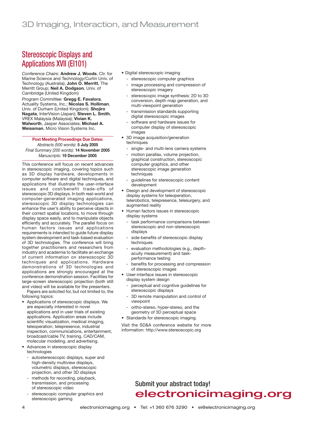# Stereoscopic Displays and Applications XVII (EI101)

*Conference Chairs:* **Andrew J. Woods**, Ctr. for Marine Science and Technology/Curtin Univ. of Technology (Australia); **John O. Merritt**, The Merritt Group; **Neil A. Dodgson**, Univ. of Cambridge (United Kingdom) *Program Committee:* **Gregg E. Favalora**, Actuality Systems, Inc.; **Nicolas S. Holliman**, Univ. of Durham (United Kingdom); **Shojiro Nagata**, InterVision (Japan); **Steven L. Smith**, VREX Malaysia (Malaysia); **Vivian K. Walworth**, Jasper Associates; **Michael A. Weissman**, Micro Vision Systems Inc.

#### **Post Meeting Proceedings Due Dates:** *Abstracts (500 words):* **5 July 2005** *Final Summary (200 words):* **14 November 2005** *Manuscripts:* **19 December 2005**

This conference will focus on recent advances in stereoscopic imaging, covering topics such as 3D display hardware, developments in computer software and digital techniques, and applications that illustrate the user-interface issues and cost/benefit trade-offs of stereoscopic 3D displays. In both real-world and computer-generated imaging applications, stereoscopic 3D display technologies can enhance the user's ability to perceive objects in their correct spatial locations, to move through display space easily, and to manipulate objects efficiently and accurately. The parallel focus on human factors issues and applications requirements is intended to guide future display system development and task-based evaluation of 3D technologies. The conference will bring together practitioners and researchers from industry and academia to facilitate an exchange of current information on stereoscopic 3D techniques and applications. Hardware demonstrations of 3D technologies and applications are strongly encouraged at the conference demonstration session. Facilities for large-screen stereoscopic projection (both still and video) will be available for the presenters.

Papers are solicited for, but not limited to, the following topics:

- Applications of stereoscopic displays. We are especially interested in novel applications and in user trials of existing applications. Application areas include scientific visualization, medical imaging, teleoperation, telepresence, industrial inspection, communications, entertainment, broadcast/cable TV, training, CAD/CAM, molecular modeling, and advertising.
- Advances in stereoscopic display technologies
	- autostereoscopic displays, super and high-density multiview displays, volumetric displays, stereoscopic projection, and other 3D displays
	- methods for recording, playback, transmission, and processing of stereoscopic video
	- stereoscopic computer graphics and stereoscopic gaming
- Digital stereoscopic imaging
	- stereoscopic computer graphics image processing and compression of
	- stereoscopic imagery
	- stereoscopic image synthesis: 2D to 3D conversion, depth map generation, and multi-viewpoint generation
	- transmission standards supporting digital stereoscopic images
	- software and hardware issues for computer display of stereoscopic images
- 3D image acquisition/generation techniques
	- single- and multi-lens camera systems
- motion parallax, volume projection, graphical construction, stereoscopic computer graphics, and other stereoscopic image generation techniques
- guidelines for stereoscopic content development
- Design and development of stereoscopic display systems for teleoperation, telerobotics, telepresence, telesurgery, and augmented reality
- Human factors issues in stereoscopic display systems
- task performance comparisons between stereoscopic and non-stereoscopic displays
- side-benefits of stereoscopic display techniques
- evaluation methodologies (e.g., depthacuity measurement) and taskperformance testing
- benefits for processing and compression of stereoscopic images
- User-interface issues in stereoscopic display system design
	- perceptual and cognitive guidelines for stereoscopic displays
	- 3D remote manipulation and control of viewpoint
	- ortho-stereo, hyper-stereo, and the geometry of 3D perceptual space
- Standards for stereoscopic imaging.

Visit the SD&A conference website for more information: http://www.stereoscopic.org

# Submit your abstract today! electronicimaging.org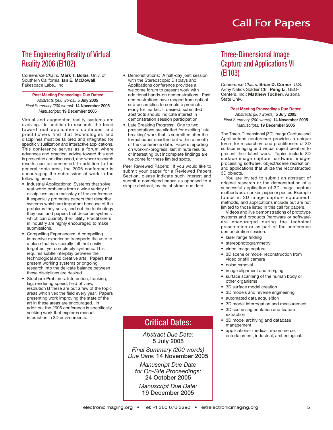# The Engineering Reality of Virtual Reality 2006 (EI102)

*Conference Chairs:* **Mark T. Bolas**, Univ. of Southern California; **Ian E. McDowall**, Fakespace Labs., Inc.

#### **Post Meeting Proceedings Due Dates:** *Abstracts (500 words):* **5 July 2005** *Final Summary (200 words):* **14 November 2005** *Manuscripts:* **19 December 2005**

Virtual and augmented reality systems are evolving. In addition to research, the trend toward real applications continues and practitioners find that technologies and disciplines must be tailored and integrated for specific visualization and interactive applications. This conference serves as a forum where advances and practical advice toward this end is presented and discussed, and where research results can be presented. In addition to the general topic area, the 2006 conference is encouraging the submission of work in the following areas:

- Industrial Applications: Systems that solve real-world problems from a wide variety of disciplines are a mainstay of the conference. It especially promotes papers that describe systems which are important because of the problems they solve, and not the technology they use, and papers that describe systems which can quantify their utility. Practitioners in industry are highly encouraged to make submissions.
- Compelling Experiences: A compelling immersive experience transports the user to a place that is viscerally felt, not easily forgotten, yet completely synthetic. This requires subtle interplay between the technological and creative arts. Papers that present working systems or ongoing research into the delicate balance between these disciplines are desired.
- Stubborn Problems: Interaction, tracking, lag, rendering speed, field of view, resolution B these are but a few of the topic areas which vex the field every year. Papers presenting work improving the state of the art in these areas are encouraged. In addition, the 2006 conference is specifically seeking work that explores manual interaction in 3D environments.
- Demonstrations: A half-day joint session with the Stereoscopic Displays and Applications conference provides a welcome forum to present work with additional hands-on demonstrations. Past demonstrations have ranged from optical sub-assemblies to complete products ready for market. If desired, submitted abstracts should indicate interest in demonstration session participation.
- Late Breaking Progress: One to two presentations are allotted for exciting 'late breaking' work that is submitted after the formal paper deadline but within a month of the conference date. Papers reporting on work-in-progress, last minute results, or interesting but incomplete findings are welcome for these limited spots.

Peer Reviewed Papers: If you would like to submit your paper for a Reviewed Papers Section, please indicate such interest and submit a completed paper, as opposed to a simple abstract, by the abstract due date.

### Three-Dimensional Image Capture and Applications VI (EI103)

*Conference Chairs:* **Brian D. Corner**, U.S. Army Natick Soldier Ctr.; **Peng Li**, GEO-Centers, Inc.; **Matthew Tocheri**, Arizona State Univ.

#### **Post Meeting Proceedings Due Dates:** *Abstracts (500 words):* **5 July 2005** *Final Summary (200 words):* **14 November 2005** *Manuscripts:* **19 December 2005**

The Three-Dimensional (3D) Image Capture and Applications conference provides a unique forum for researchers and practitioners of 3D surface imaging and virtual object creation to present their latest work. Topics include 3D surface image capture hardware, imageprocessing software, object/scene recreation, and applications that utilize the reconstructed 3D objects.

You are invited to submit an abstract of original research or the demonstration of a successful application of 3D image capture methods as a spoken paper or poster. Example topics in 3D image capture equipment, methods, and applications include but are not limited to those listed in this call for papers.

Videos and live demonstrations of prototype systems and products (hardware or software) are encouraged during the technical presentation or as part of the conference demonstration session.

- laser range finding
- stereophotogrammetry
- video image capture
- 3D scene or model reconstruction from video or still camera
- noise removal
- image alignment and merging
- surface scanning of the human body or other organisms
- 3D surface model creation
- 3D models and reverse engineering
- automated data acquisition
- 3D model interrogation and measurement
- 3D scene segmentation and feature extraction
- 3D model archiving and database management
	- applications- medical, e-commerce, entertainment, industrial, archeological.

# Critical Dates:

*Abstract Due Date:* **5 July 2005**

*Final Summary (200 words) Due Date:* **14 November 2005**

*Manuscript Due Date for On-Site Proceedings:* **24 October 2005**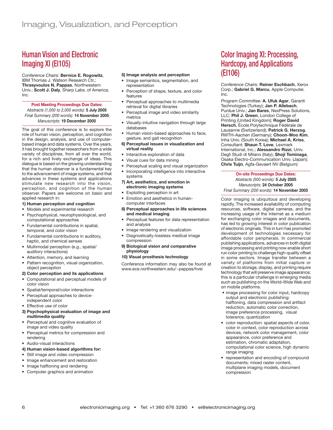# Human Vision and Electronic Imaging XI (EI105)

*Conference Chairs:* **Bernice E. Rogowitz**, IBM Thomas J. Watson Research Ctr.; **Thrasyvoulos N. Pappas**, Northwestern Univ.; **Scott J. Daly**, Sharp Labs. of America, Inc.

#### **Post Meeting Proceedings Due Dates:** *Abstracts (1,000 to 2,000 words):* **5 July 2005** *Final Summary (200 words):* **14 November 2005** *Manuscripts:* **19 December 2005**

The goal of this conference is to explore the role of human vision, perception, and cognition in the design, analysis, and use of computerbased image and data systems. Over the years, it has brought together researchers from a wide variety of disciplines, from all over the world, for a rich and lively exchange of ideas. This dialogue is based on the growing understanding that the human observer is a fundamental key to the advancement of image systems, and that advances in these systems and applications stimulate new research into the vision, perception, and cognition of the human observer. Papers are welcome on basic and applied research in:

#### **1) Human perception and cognition**

- Models and experimental research
- Psychophysical, neurophysiological, and computational approaches
- Fundamental contributions in spatial, temporal, and color vision
- Fundamental contributions in auditory, haptic, and chemical senses
- Multimodal perception (e.g., spatial/ auditory interactions)
- Attention, memory, and learning
- Pattern recognition, visual organization, object perception

#### **2) Color perception and its applications**

- Computational and perceptual models of color vision
- Spatial/temporal/color interactions
- Perceptual approaches to deviceindependent color
- Effective use of color
- **3) Psychophysical evaluation of image and multimedia quality**
- Perceptual and cognitive evaluation of image and video quality
- Perceptual metrics for compression and rendering
- Audio-visual interactions

#### **4) Human vision-based algorithms for:**

- Still image and video compression
- Image enhancement and restoration
- Image halftoning and rendering
- Computer graphics and animation

#### **5) Image analysis and perception**

- Image semantics, segmentation, and representation
- Perception of shape, texture, and color features
- Perceptual approaches to multimedia retrieval for digital libraries
- Perceptual image and video similarity metrics
- Visually-intuitive navigation through large databases
- Human vision-based approaches to face, gesture, and gait recognition
- **6) Perceptual issues in visualization and virtual reality**
- Interactive exploration of data
- Visual cues for data mining
- Perceptual scaling and visual organization
- Incorporating intelligence into interactive
- systems **7) Art, aesthetics, and emotion in electronic imaging systems**
- Exploiting perception in art
- Emotion and aesthetics in humancomputer interfaces
- **8) Perceptual approaches in life sciences and medical imaging**
- Perceptual features for data representation and analysis
- Image rendering and visualization
- Diagnostically-lossless medical image compression
- **9) Biological vision and comparative physiology**

#### **10) Visual prosthesis technology**

Conference information may also be found at www.ece.northwestern.edu/~pappas/hvei

### Color Imaging XI: Processing, Hardcopy, and Applications (EI106)

*Conference Chairs:* **Reiner Eschbach**, Xerox Corp.; **Gabriel G. Marcu**, Apple Computer, Inc.

*Program Committee:* **A. Ufuk Agar**, Garanti Technologies (Turkey); **Jan P. Allebach**, Purdue Univ.; **Jan Bares**, NexPress Solutions, LLC; **Phil J. Green**, London College of Printing (United Kingdom); **Roger David Hersch**, École Polytechnique Fédérale de Lausanne (Switzerland); **Patrick G. Herzog**, RWTH-Aachen (Germany); **Choon-Woo Kim**, Inha Univ. (South Korea); **Michael A. Kriss**, Consultant; **Shaun T. Love**, Lexmark International, Inc.; **Alessandro Rizzi**, Univ. Degli Studi di Milano (Italy); **Shoji Tominaga**, Osaka Electro-Communication Univ. (Japan); **Chris Tuijn**, Agfa-Gevaert NV (Belgium)

**On-site Proceedings Due Dates:** *Abstracts (500 words):* **5 July 2005** *Manuscripts:* **24 October 2005** *Final Summary (200 words):* **14 November 2005**

Color imaging is ubiquitous and developing rapidly. The increased availability of computing resources, software, digital cameras, and the increasing usage of the Internet as a medium for exchanging color images and documents, has led to growing interest in color publication of electronic originals. This in turn has promoted development of technologies necessary for affordable color peripherals. In commercial publishing applications, advances in both digital image processing and printing now enable short run color printing to challenge high-quality offset in some sectors. Image transfer between a variety of platforms from initial capture or creation to storage, display, and printing require technology that will preserve image appearance; this is a particular challenge in emerging media such as publishing on the World-Wide Web and on mobile platforms.

- image processing for color input, hardcopy output and electronic publishing: halftoning, data compression and artifact reduction, automatic color correction, image preference processing, visual tolerance, quantization
- color reproduction: spatial aspects of color, color in context, color reproduction across devices, network color management, color appearance, color preference and estimation, chromatic adaptation, computational color science, high dynamic range imaging
- representation and encoding of compound documents: mixed raster content, multiplane imaging models, document compression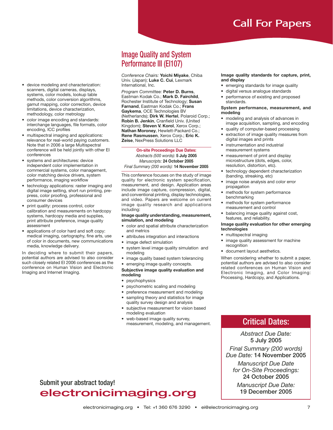• device modeling and characterization: scanners, digital cameras, displays, systems, color models, lookup table methods, color conversion algorithms. gamut mapping, color correction, device limitations, device characterization, methodology, color metrology

- color image encoding and standards: interchange languages, file formats, color encoding, ICC profiles
- multispectral imaging and applications: relevance for real-world paying customers. Note that in 2006 a large Multispectral conference will be held jointly with other EI conferences
- systems and architectures: device independent color implementation in commercial systems, color management, color matching device drivers, system performance, imaging workflow
- technology applications: raster imaging and digital image setting, short run printing, prepress, color proofing, professional and consumer devices
- print quality: process control, color calibration and measurements on hardcopy systems, hardcopy media and supplies, print attribute preference, image quality assessment
- applications of color hard and soft copy: medical imaging, cartography, fine arts, use of color in documents, new communications media, knowledge delivery.

In deciding where to submit their papers, potential authors are advised to also consider such closely related EI 2006 conferences as the conference on Human Vision and Electronic Imaging and Internet Imaging.

### Image Quality and System Performance III (EI107)

*Conference Chairs:* **Yoichi Miyake**, Chiba Univ. (Japan); **Luke C. Cui**, Lexmark International, Inc.

*Program Committee:* **Peter D. Burns**, Eastman Kodak Co.; **Mark D. Fairchild**, Rochester Institute of Technology; **Susan Farnand**, Eastman Kodak Co.; **Frans Gaykema**, OCE Technologies BV (Netherlands); **Dirk W. Hertel**, Polaroid Corp.; **Robin B. Jenkin**, Cranfield Univ. (United Kingdom); **Steven V. Korol**, Xerox Corp.; **Nathan Moroney**, Hewlett-Packard Co.; **Rene Rasmussen**, Xerox Corp.; **Eric K. Zeise**, NexPress Solutions LLC

**On-site Proceedings Due Dates:**

*Abstracts (500 words):* **5 July 2005** *Manuscripts:* **24 October 2005** *Final Summary (200 words):* **14 November 2005**

This conference focuses on the study of image quality for electronic system specification, measurement, and design. Application areas include image capture, compression, digital, and conventional printing, display technologies, and video. Papers are welcome on current image quality research and applications including:

#### **Image quality understanding, measurement, simulation, and modeling**

- color and spatial attribute characterization and metrics
- attributes integration and interactions
- image defect simulation
- system level image quality simulation and modeling
- image quality based system tolerancing
- emerging image quality concepts.

#### **Subjective image quality evaluation and modeling**

- psychophysics
- psychometric scaling and modeling
- preference measurement and modeling
- sampling theory and statistics for image quality survey design and analysis
- subjective measurement for vision based modeling evaluation
- web-based image quality survey, measurement, modeling, and management.

#### **Image quality standards for capture, print, and display**

- emerging standards for image quality
- digital versus analogue standards
- performance of existing and proposed standards.

#### **System performance, measurement, and modeling**

- modeling and analysis of advances in image acquisition, sampling, and encoding
- quality of computer-based processing
- extraction of image quality measures from digital images and prints
- instrumentation and industrial measurement systems
- measurement of print and display microstructure (dots, edges, color, resolution, distortion, etc).
- technology dependent characterization (banding, streaking, etc)
- image noise analysis and color error propagation
- methods for system performance benchmarking
- methods for system performance measurement and control
- balancing image quality against cost, features, and reliability.

#### **Image quality evaluation for other emerging technologies**

- multispectral imaging
- image quality assessment for machine recognition
- document layout aesthetics.

When considering whether to submit a paper, potential authors are advised to also consider related conferences on Human Vision and Electronic Imaging, and Color Imaging: Processing, Hardcopy, and Applications.

### Critical Dates:

*Abstract Due Date:* **5 July 2005** *Final Summary (200 words) Due Date:* **14 November 2005**

*Manuscript Due Date for On-Site Proceedings:* **24 October 2005**

*Manuscript Due Date:* **19 December 2005**

### Submit your abstract today!

# electronicimaging.org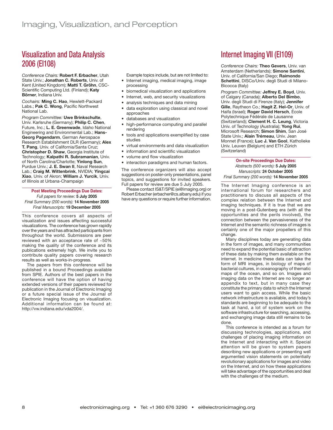### Visualization and Data Analysis 2006 (EI108)

*Conference Chairs:* **Robert F. Erbacher**, Utah State Univ.; **Jonathan C. Roberts**, Univ. of Kent (United Kingdom); **Matti T. Gröhn**, CSC-Scientific Computing Ltd. (Finland); **Katy Börner**, Indiana Univ.

*Cochairs:* **Ming C. Hao**, Hewlett-Packard Labs.; **Pak C. Wong**, Pacific Northwest National Lab.

*Program Committee:* **Uwe Brinkschulte**, Univ. Karlsruhe (Germany); **Philip C. Chen**, Future, Inc.; **L. E. Greenwade**, Idaho National Engineering and Environmental Lab.; **Hans-Georg Pagendarm**, German Aerospace Research Establishment DLR (Germany); **Alex T. Pang**, Univ. of California/Santa Cruz; **Christopher D. Shaw**, Georgia Institute of Technology; **Kalpathi R. Subramanian**, Univ. of North Carolina/Charlotte; **Yinlong Sun**, Purdue Univ.; **J. E. Swan II**, Naval Research Lab.; **Craig M. Wittenbrink**, NVIDIA; **Yingcai Xiao**, Univ. of Akron; **William J. Yurcik**, Univ. of Illinois at Urbana-Champaign

#### **Post Meeting Proceedings Due Dates:** *Full papers for review:* **5 July 2005** *Final Summary (200 words):* **14 November 2005** *Final Manuscripts:* **19 December 2005**

This conference covers all aspects of visualization and issues affecting successful visualizations. The conference has grown rapidly over the years and has attracted participants from throughout the world. Submissions are peer reviewed with an acceptance rate of ~50% making the quality of the conference and its publications extremely high. We invite you to contribute quality papers covering research results as well as works-in-progress.

The papers from this conference will be published in a bound Proceedings available from SPIE. Authors of the best papers in the conference will have the option of having extended versions of their papers reviewed for publication in the Journal of Electronic Imaging or a future special issue of the Journal of Electronic Imaging focusing on visualization. Additional information can be found at: http://vw.indiana.edu/vda2004/.

Example topics include, but are not limited to:

- Internet imaging, medical imaging, image processing
- biomedical visualization and applications
- Internet, web, and security visualizations
- analysis techniques and data mining
- data exploration using classical and novel approaches
- databases and visualization
- high-performance computing and parallel rendering
- tools and applications exemplified by case studies
- virtual environments and data visualization
- information and scientific visualization
- volume and flow visualization
- interaction paradigms and human factors.

The conference organizers will also accept suggestions on poster-only presentations, panel topics, and suggestions for invited speakers. Full papers for review are due 5 July 2005.

Please contact IS&T/SPIE (ei@imaging.org) or Robert Erbacher (erbacher@cs.albany.edu) if you have any questions or require further information.

# Internet Imaging VII (EI109)

*Conference Chairs:* **Theo Gevers**, Univ. van Amsterdam (Netherlands); **Simone Santini**, Univ. of California/San Diego; **Raimondo Schettini**, DISCo/Univ. degli Studi di Milano-Bicocca (Italy)

*Program Committee:* **Jeffrey E. Boyd**, Univ. of Calgary (Canada); **Alberto Del Bimbo**, Univ. degli Studi di Firenze (Italy); **Jennifer Gille**, Raytheon Co.; **Hagit Z. Hel-Or**, Univ. of Haifa (Israel); **Roger David Hersch**, École Polytechnique Fédérale de Lausanne (Switzerland); **Clement H. C. Leung**, Victoria Univ. of Technology (Australia); **Yong Rui**, Microsoft Research; **Simon Shim**, San José State Univ.; **Alain Trémeau**, Univ. Jean Monnet (France); **Luc J. Van Gool**, Katholieke Univ. Leuven (Belgium) and ETH Zürich (Switzerland)

#### **On-site Proceedings Due Dates:** *Abstracts (500 words):* **5 July 2005** *Manuscripts:* **24 October 2005** *Final Summary (200 words):* **14 November 2005**

The Internet Imaging conference is an international forum for researchers and practitioners to discuss all aspects of the complex relation between the Internet and imaging techniques. If it is true that we are moving in a post-Gutenberg era (with all the opportunities and the perils involved), the connection between the pervasiveness of the Internet and the semantic richness of images is certainly one of the major propellers of this change.

Many disciplines today are generating data in the form of images, and many communities need to expand the potential basic of attraction of these data by making them available on the internet. In medicine these data can take the form of MRI images, in biology of maps of bacterial cultures, in oceanography of thematic maps of the ocean, and so on. Images and imaging data on the Internet are no longer an appendix to text, but in many case they constitute the primary data to which the Internet users want to gain access. While the basic network infrastructure is available, and today's standards are beginning to be adequate to the task at hand, a lot of system work on the software infrastructure for searching, accessing, and exchanging image data still remains to be done.

This conference is intended as a forum for discussing technologies, applications, and challenges of placing imaging information on the Internet and interacting with it. Special attention will be given to system papers describing new applications or presenting well argumented vision statements on potentially revolutionary applications for images and video on the Internet, and on how these applications will take advantage of the opportunities and deal with the challenges of the medium.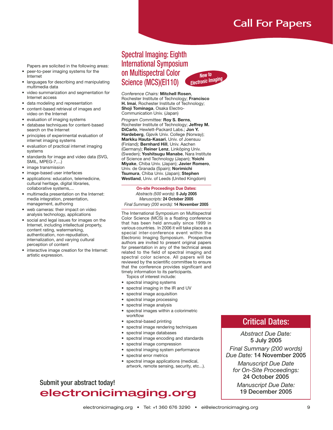Papers are solicited in the following areas:

- peer-to-peer imaging systems for the Internet
- languages for describing and manipulating multimedia data
- video summarization and segmentation for Internet access
- data modeling and representation
- content-based retrieval of images and video on the Internet
- evaluation of imaging systems
- database techniques for content-based search on the Internet
- principles of experimental evaluation of internet imaging systems
- evaluation of practical internet imaging systems
- standards for image and video data (SVG, SMIL, MPEG-7,...)
- image transmission
- image-based user interfaces
- applications: education, telemedicine, cultural heritage, digital libraries, collaborative systems,...
- multimedia presentation on the Internet: media integration, presentation, management, authoring
- web cameras: their impact on video analysis technology, applications
- social and legal issues for images on the Internet, including intellectual property, content rating, watermarking, authentication, non-repudiation, internalization, and varying cultural perception of content
- interactive image creation for the Internet: artistic expression.

### Spectral Imaging: Eighth International Symposium on Multispectral Color Science (MCS)(EI110) *Electronic Imaging*



*New to*

*Program Committee:* **Roy S. Berns**, Rochester Institute of Technology; **Jeffrey M. DiCarlo**, Hewlett-Packard Labs.; **Jon Y. Hardeberg**, Gjøvik Univ. College (Norway); **Markku Hauta-Kasari**, Univ. of Joensuu (Finland); **Bernhard Hill**, Univ. Aachen (Germany); **Reiner Lenz**, Linköping Univ. (Sweden); **Yoshitsugu Manabe**, Nara Institute of Science and Technology (Japan); **Yoichi Miyake**, Chiba Univ. (Japan); **Javier Romero**, Univ. de Granada (Spain); **Norimichi Tsumura**, Chiba Univ. (Japan); **Stephen Westland**, Univ. of Leeds (United Kingdom)

#### **On-site Proceedings Due Dates:** *Abstracts (500 words):* **5 July 2005** *Manuscripts:* **24 October 2005** *Final Summary (200 words):* **14 November 2005**

The International Symposium on Multispectral Color Science (MCS) is a floating conference that has been held annually since 1999 in various countries. In 2006 it will take place as a special inter-conference event within the Electronic Imaging Symposium. Prospective authors are invited to present original papers for presentation in any of the technical areas related to the field of spectral imaging and spectral color science. All papers will be reviewed by the scientific committee to ensure that the conference provides significant and timely information to its participants.

- Topics of interest include:
- spectral imaging systems • spectral imaging in the IR and UV
- 
- spectral image acquisition
- spectral image processing
- spectral image analysis spectral images within a colorimetric
- workflow
- spectral-based printing
- spectral image rendering techniques
- spectral image databases
- spectral image encoding and standards
- spectral image compression
- spectral imaging system performance
- spectral error metrics
- spectral image applications (medical, artwork, remote sensing, security, etc...).

# Submit your abstract today! electronicimaging.org

### Critical Dates:

*Abstract Due Date:* **5 July 2005** *Final Summary (200 words) Due Date:* **14 November 2005**

*Manuscript Due Date for On-Site Proceedings:* **24 October 2005**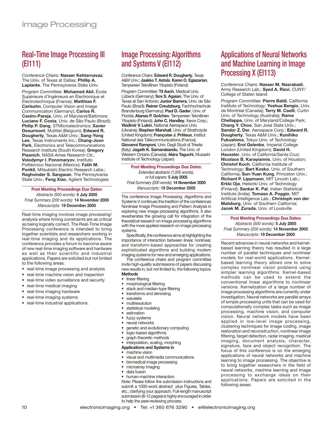# Real-Time Image Processing III (EI111)

*Conference Chairs:* **Nasser Kehtarnavaz**, The Univ. of Texas at Dallas; **Phillip A. Laplante**, The Pennsylvania State Univ.

*Program Committee:* **Mohamed Akil**, École Supérieure d'Ingénieurs en Électronique et Électrotechnique (France); **Matthias F. Carlsohn**, Computer Vision and Image Communication (Germany); **Carlos R. Castro-Pareja**, Univ. of Maryland/Baltimore; **Luciano F. Costa**, Univ. de São Paulo (Brazil); **Philip P. Dang**, STMicroelectronics; **Xavier Desurmont**, Multitel (Belgium); **Edward R. Dougherty**, Texas A&M Univ.; **Sang-Yong Lee**, Texas Instruments Inc.; **Chang-Joon Park**, Electronics and Telecommunications Research Institute (South Korea); **Gregory Pisanich**, NASA Ames Research Ctr.; **Volodymyr I. Ponomaryov**, Instituto Politécnico Nacional (Mexico); **Fatih M. Porikli**, Mitsubishi Electric Research Labs.; **Raghvinder S. Sangwan**, The Pennsylvania State Univ.; **Feng Xiao**, Agilent Technologies

**Post Meeting Proceedings Due Dates:** *Abstracts (500 words):* **5 July 2005** *Final Summary (200 words):* **14 November 2005** *Manuscripts:* **19 December 2005**

Real-time imaging involves image processing/ analysis where timing constraints are as critical as being logically correct. The Real-Time Image Processing conference is intended to bring together scientists and researchers working in real-time imaging and its applications. The conference provides a forum to become aware of new real-time imaging software and hardware as well as their scientific and industrial applications. Papers are solicited but not limited to the following areas:

- real-time image processing and analysis
- real-time machine vision and inspection
- real-time video surveillance and security
- real-time medical imaging
- real-time imaging hardware
- real-time imaging systems
- real-time industrial applications.

# Image Processing: Algorithms and Systems V (EI112)

*Conference Chairs:* **Edward R. Dougherty**, Texas A&M Univ.; **Jaakko T. Astola**, **Karen O. Egiazarian**, Tampereen Teknillinen Yliopisto (Finland)

*Program Committee:* **Til Aach**, Medical Univ. Lübeck (Germany); **Sos S. Agaian**, The Univ. of Texas at San Antonio; **Junior Barrera**, Univ. de São Paulo (Brazil); **Reiner Creutzburg**, Fachhochschule Brandenburg (Germany); **Paul D. Gader**, Univ. of Florida; **Atanas P. Gotchev**, Tampereen Teknillinen Yliopisto (Finland); **John C. Handley**, Xerox Corp.; **Vladimir V. Lukin**, National Aerospace Univ. (Ukraine); **Stephen Marshall**, Univ. of Strathclyde (United Kingdom); **Françoise J. Prêteux**, Institut National des Télécommunications (France); **Giovanni Ramponi**, Univ. Degli Studi di Trieste (Italy); **Jagath K. Samarabandu**, The Univ. of Western Ontario (Canada); **Akira Taguchi**, Musashi Institute of Technology (Japan)

**Post Meeting Proceedings Due Dates:** *Extended abstracts (1,000 words), or full papers:* **5 July 2005** *Final Summary (200 words):* **14 November 2005** *Manuscripts:* **19 December 2005**

The conference Image Processing: Algorithms and Systems V continues the tradition of the conferences Nonlinear Image Processing and Pattern Analysis in exploring new image processing algorithms. It also reverberates the growing call for integration of the theoretical research on image processing algorithms with the more applied research on image processing systems.

Specifically, the conference aims at highlighting the importance of interaction between linear, nonlinear, and transform-based approaches for creating sophisticated algorithms and building modern imaging systems for new and emerging applications.

The conference chairs and program committee invite high-quality submissions of papers discussing new results in, but not limited to, the following topics: **Methods**

- linear filtering
- morphological filtering
- stack and median-type filtering
- transforms and denoising
- wavelets
- multiresolution
- statistical modeling
- **estimation**
- fuzzy systems
- neural networks
- genetic and evolutionary computing
- logic-based algorithms
- graph theoretic methods
- interpolation, scaling, morphing
- **Applications and Systems in**
- machine vision
- visual and multimedia communications
- biomedical image processing
- microarray imaging
- data fusion
- human-machine interaction.

Note: Please follow the submission instructions and submit a 1000-word abstract plus Figures, Tables, etc., clarifying your approach. Full-length manuscript submission (8-12 pages) is highly encouraged in order to help the peer-reviewing process.

### Applications of Neural Networks and Machine Learning in Image Processing X (EI113)

*Conference Chairs:* **Nasser M. Nasrabadi**, Army Research Lab.; **Syed A. Rizvi**, CUNY/ College of Staten Island

*Program Committee:* **Pierre Baldi**, California Institute of Technology; **Yoshua Bengio**, Univ. de Montréal (Canada); **Terry M. Caelli**, Curtin Univ. of Technology (Australia); **Rama Chellappa**, Univ. of Maryland/College Park; **Chang Y. Choo**, San José State Univ.; **Sandor Z. Der**, Aerospace Corp.; **Edward R. Dougherty**, Texas A&M Univ.; **Kunihiko Fukushima**, Tokyo Univ. of Technology (Japan); **Erol Gelenbe**, Imperial College London (United Kingdom); **David H. Haussler**, Univ. of California/Santa Cruz; **Nicolaos B. Karayiannis**, Univ. of Houston; **Christof Koch**, California Institute of Technology; **Bart Kosko**, Univ. of Southern California; **Sun-Yuan Kung**, Princeton Univ.; **Richard P. Lippmann**, MIT Lincoln Lab.; **Erkki Oja**, Helsinki Univ. of Technology (Finland); **Sankar K. Pal**, Indian Statistical Institute (India); **Tomaso A. Poggio**, MIT Artificial Intelligence Lab.; **Christoph von der Malsburg**, Univ. of Southern California; **Jacek M. Zurada**, Univ. of Louisville

### **Post Meeting Proceedings Due Dates:**

*Abstracts (500 words):* **5 July 2005** *Final Summary (200 words):* **14 November 2005** *Manuscripts:* **19 December 2005**

Recent advances in neural networks and kernelbased learning theory has resulted in a large number of parallel techniques and nonlinear models for real-world applications. Kernelbased learning theory allows one to solve complex nonlinear vision problems using simpler learning algorithms. Kernel-based methods can be used to extend the conventional linear algorithms to nonlinear versions. Kernelization of a large number of image processing algorithms are currently under investigation. Neural networks are parallel arrays of simple processing units that can be used for computationally complex tasks such as image processing, machine vision, and computer vision. Neural network models have been applied in low-level image processing, clustering techniques for image coding, image restoration and reconstruction, nonlinear image filtering, target detection, radar imaging, medical imaging, document analysis, character, signature, face and object recognition. The focus of this conference is on the emerging applications of neural networks and machine learning to image processing. The objective is to bring together researchers in the field of neural networks, machine learning and image processing to exchange ideas on their applications. Papers are solicited in the following areas: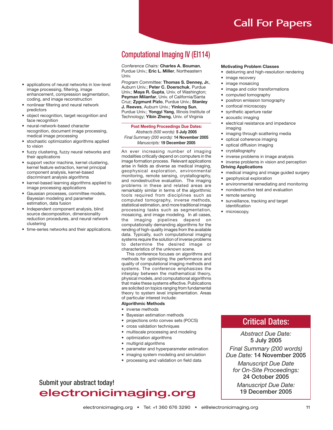- applications of neural networks in low-level image processing, filtering, image enhancement, compression segmentation, coding, and image reconstruction
- nonlinear filtering and neural network predictors
- object recognition, target recognition and face recognition
- neural-network-based character recognition, document image processing, medical image processing
- stochastic optimization algorithms applied to vision
- fuzzy clustering, fuzzy neural networks and their applications
- support vector machine, kernel clustering, kernel feature extraction, kernel principal component analysis, kernel-based discriminant analysis algorithms
- kernel-based learning algorithms applied to image processing applications
- Gaussian processes, committee models, Bayesian modeling and parameter estimation, data fusion
- Independent component analysis, blind source decomposition, dimensionality reduction procedures, and neural network clustering
- time-series networks and their applications.

# Computational Imaging IV (EI114)

*Conference Chairs:* **Charles A. Bouman**, Purdue Univ.; **Eric L. Miller**, Northeastern Univ.

*Program Committee:* **Thomas S. Denney, Jr.**, Auburn Univ.; **Peter C. Doerschuk**, Purdue Univ.; **Maya R. Gupta**, Univ. of Washington; **Peyman Milanfar**, Univ. of California/Santa Cruz; **Zygmunt Pizlo**, Purdue Univ.; **Stanley J. Reeves**, Auburn Univ.; **Yinlong Sun**, Purdue Univ.; **Yongyi Yang**, Illinois Institute of Technology; **Yibin Zheng**, Univ. of Virginia

**Post Meeting Proceedings Due Dates:** *Abstracts (500 words):* **5 July 2005** *Final Summary (200 words):* **14 November 2005** *Manuscripts:* **19 December 2005**

An ever increasing number of imaging modalities critically depend on computers in the image formation process. Relevant applications arise in fields as diverse as medical imaging, geophysical exploration, environmental monitoring, remote sensing, crystallography, and nondestructive evaluation. The imaging problems in these and related areas are remarkably similar in terms of the algorithmic tools required from disciplines such as computed tomography, inverse methods, statistical estimation, and more traditional image processing tasks such as segmentation, mosaicing, and image modeling. In all cases, the imaging pipelines depend on computationally demanding algorithms for the rending of high-quality images from the available data. Typically, such computational imaging systems require the solution of inverse problems to determine the desired image or characteristics of the unknown scene.

This conference focuses on algorithms and methods for optimizing the performance and quality of computational imaging methods and systems. The conference emphasizes the interplay between the mathematical theory, physical models, and computational algorithms that make these systems effective. Publications are solicited on topics ranging from fundamental theory to system level implementation. Areas of particular interest include:

#### **Algorithmic Methods**

- inverse methods
- Bayesian estimation methods
- projections onto convex sets (POCS)
- cross validation techniques
- multiscale processing and modeling
- optimization algorithms
- multigrid algorithms
- parameter and hyperparameter estimation
- imaging system modeling and simulation
- processing and validation on field data

### Submit your abstract today! electronicimaging.org

#### **Motivating Problem Classes**

- deblurring and high-resolution rendering
- image recovery
- image mosaicing
- image and color transformations
- computed tomography
- positron emission tomography
- confocal microscopy
- synthetic aperture radar
- acoustic imaging
- electrical resistance and impedance imaging
- imaging through scattering media
- optical coherence imaging
- optical diffusion imaging
- crystallography
- inverse problems in image analysis
- inverse problems in vision and perception **Driving Applications**
- 
- medical imaging and image guided surgery • geophysical exploration
- environmental remediating and monitoring
- nondestructive test and evaluation
- remote sensing
- surveillance, tracking and target
- identification

### • microscopy.

### Critical Dates:

*Abstract Due Date:* **5 July 2005** *Final Summary (200 words) Due Date:* **14 November 2005**

*Manuscript Due Date for On-Site Proceedings:* **24 October 2005**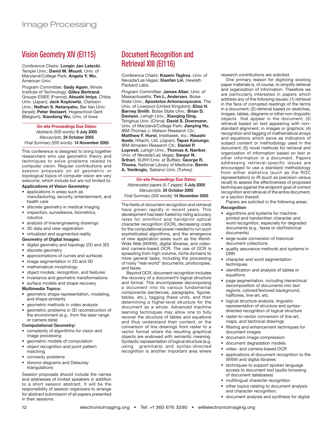# Vision Geometry XIV (EI115)

*Conference Chairs:* **Longin Jan Latecki**, Temple Univ.; **David M. Mount**, Univ. of Maryland/College Park; **Angela Y. Wu**, American Univ.

*Program Committee:* **Gady Agam**, Illinois Institute of Technology; **Gilles Bertrand**, Groupe ESIEE (France); **Atsushi Imiya**, Chiba Univ. (Japan); **Jack Koplowitz**, Clarkson Univ.; **Nathan S. Netanyahu**, Bar Ilan Univ. (Israel); **Peter Veelaert**, Hogeschool Gent (Belgium); **Xiaodong Wu**, Univ. of Iowa

#### **On-site Proceedings Due Dates:**

*Abstracts (500 words):* **5 July 2005** *Manuscripts:* **24 October 2005** *Final Summary (200 words):* **14 November 2005**

This conference is designed to bring together researchers who use geometric theory and techniques to solve problems related to computer vision. Regular contributions and session proposals on all geometric or topological topics of computer vision are very welcome, which include but are not limited to: **Applications of Vision Geometry:**

### • applications in areas such as

- manufacturing, security, entertainment, and health care
- discrete geometry in medical imaging
- inspection, surveillance, biometrics,
- robotics • analysis of line/engineering drawings
- 
- 3D data and view registration • virtualized and augmented reality
- **Geometry of Digital Images:**
- digital geometry and topology (2D and 3D)
- discrete geometry
- approximations of curves and surfaces
- image segmentation in 2D and 3D
- mathematical morphology
- object models, recognition, and features
- invariance and geometric transformations
- surface models and shape recovery

#### **Multimedia Topics:**

- geometric shape representation, modeling, and shape similarity
- geometric methods in video analysis
- geometric problems in 3D reconstruction of the environment (e.g., from the laser range or camera data)

#### **Computational Geometry:**

- complexity of algorithms for vision and image processing
- geometric models of computation
- object recognition and point pattern matching
- convexity problems
- Voronoi diagrams and Delaunay triangulations

Session proposals should include the names and addresses of invited speakers in addition to a short session abstract. It will be the responsibility of session organizers to arrange for abstract submission of all papers presented in their sessions.

# Document Recognition and Retrieval XIII (EI116)

*Conference Chairs:* **Kazem Taghva**, Univ. of Nevada/Las Vegas; **Xiaofan Lin**, Hewlett-Packard Labs.

*Program Committee:* **James Allan**, Univ. of Massachusetts; **Tim L. Andersen**, Boise State Univ.; **Apostolos Antonacopoulos**, The Univ. of Liverpool (United Kingdom); **Elisa H. Barney Smith**, Boise State Univ.; **Brian D. Davison**, Lehigh Univ.; **Xiaoqing Ding**, Tsinghua Univ. (China); **David S. Doermann**, Univ. of Maryland/College Park; **Jianying Hu**, IBM Thomas J. Watson Research Ctr.; **Matthew F. Hurst**, Intelliseek, Inc.; **Hisashi Ikeda**, Hitachi, Ltd. (Japan); **Tapas Kanungo**, IBM Almaden Research Ctr.; **Daniel P. Lopresti**, Lehigh Univ.; **Thomas A. Nartker**, Univ. of Nevada/Las Vegas; **Sargur N. Srihari**, SUNY/Univ. at Buffalo; **George R. Thoma**, National Library of Medicine; **Berrin A. Yanikoglu**, Sabanci Univ. (Turkey)

#### **On-site Proceedings Due Dates:** *Abbreviated papers (5-7 pages):* **5 July 2005**

*Manuscripts:* **24 October 2005**

*Final Summary (200 words):* **14 November 2005**

The fields of document recognition and retrieval have grown rapidly in recent years. This development has been fueled by rising accuracy rates for omnifont and handprint optical character recognition (OCR), decreasing costs for the computational power needed to run such sophisticated algorithms, and the emergence of new application areas such as the World-Wide Web (WWW), digital libraries, and videoand camera-based OCR. The use of OCR is spreading from high-volume, niche domains to more general tasks, including the processing of noisy "real-world" documents, photocopies, and faxes.

Beyond OCR, document recognition includes the recovery of a document's logical structure and format. This encompasses decomposing a document into its various fundamental components (sentences, paragraphs, figures, tables, etc.), tagging these units, and then determining a higher-level structure for the document as a whole. Advanced machine learning techniques may allow one to fully recover the structure of tables and equations and thus understand their content, or the conversion of line drawings from raster to a vector format where the resulting graphical objects are endowed with semantic meaning. Syntactic representation of logical structure (e.g. using grammars) and syntax-directed recognition is another important area where research contributions are solicited.

One primary reason for digitizing existing paper materials is, of course, to simplify retrieval and organization of information. Therefore we are particularly interested in papers which address any of the following issues: (1) retrieval in the face of corrupted readings of the terms in a document; (2) retrieval based on sketches, images, tables, diagrams or other non-linguistic objects that appear in the document; (3) retrieval based on text appearing with nonstandard alignment, in images or graphics; (4) recognition and tagging of mathematical arrays and equations which serve as indicators of subject content or methodology used in the document; (5) novel methods for retrieval and organization of information based on text or other information in a document. Papers addressing retrieval-specific issues are encouraged to use a standard methodology from either statistics (such as the ROC representation) or IR (such as precision versus recall) to assess the effectiveness of proposed techniques against the endpoint goal of correct recognition and retrieval of the entire document, or a section thereof.

Papers are solicited in the following areas:

#### **Recognition**

- algorithms and systems for machineprinted and handwritten character and word recognition, especially for degraded documents (e.g., faxes or old/historical documents)
- large-scale conversion of historical document collections
- quality assurance methods and systems in DRR
- character and word segmentation techniques
- identification and analysis of tables or equations
- page segmentation, including hierarchical decomposition of documents into text regions, colored/textured background, halftones, line-art, etc.
- logical structure analysis, linguistic representation of structure and syntaxdirected recognition of logical structure
- raster-to-vector conversion of line-art, maps, and technical drawings
- filtering and enhancement techniques for document images
- document image compression
- document degradation models
- video- and camera-based OCR
- applications of document recognition to the WWW and digital libraries
- techniques to support spoken language access to document text (audio browsing of document databases)
- multilingual character recognition
- other topics relating to document analysis and character recognition.
- document analysis and synthesis for digital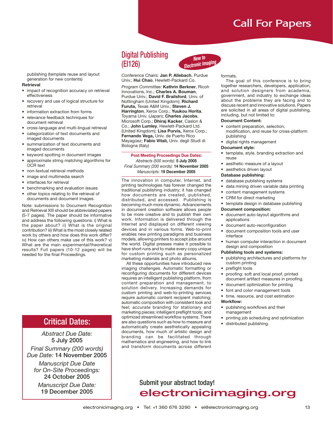publishing (template reuse and layout generation for new contents)

#### **Retrieval**

- impact of recognition accuracy on retrieval effectiveness
- recovery and use of logical structure for retrieval
- information extraction from forms
- relevance feedback techniques for document retrieval
- cross-language and multi-lingual retrieval
- categorization of text documents and imaged documents
- summarization of text documents and imaged documents
- keyword spotting in document images
- approximate string matching algorithms for OCR text
- non-textual retrieval methods
- image and multimedia search
- interfaces for retrieval
- benchmarking and evaluation issues
- other topics relating to the retrieval of documents and document images.

Note: submissions to Document Recognition and Retrieval XIII should be abbreviated papers (5-7 pages). The paper should be informative and address the following questions: i) What is the paper about? ii) What is the original contribution? iii) What is the most closely related work by others and how does this work differ? iv) How can others make use of this work? v) What are the main experimental/theoretical results? Full papers (10-12 pages) will be needed for the final Proceedings.

### Critical Dates:

### *Abstract Due Date:* **5 July 2005** *Final Summary (200 words) Due Date:* **14 November 2005**

*Manuscript Due Date for On-Site Proceedings:* **24 October 2005**

*Manuscript Due Date:* **19 December 2005**

### Digital Publishing (EI126)



*Conference Chairs:* **Jan P. Allebach**, Purdue Univ.; **Hui Chao**, Hewlett-Packard Co.

*Program Committee:* **Kathrin Berkner**, Ricoh Innovations, Inc.; **Charles A. Bouman**, Purdue Univ.; **David F. Brailsford**, Univ. of Nottingham (United Kingdom); **Richard Furuta,** Texas A&M Univ.; **Steven J. Harrington**, Xerox Corp.; **Yuukou Horita**, Toyama Univ. (Japan); **Charles Jacobs**, Microsoft Corp.; **Dhiraj Kacker**, Caslon & Co.; **John Lumley**, Hewlett-Packard Ltd. (United Kingdom); **Lisa Purvis,** Xerox Corp.; **Fernando Vega,** Univ. de Puerto Rico Mayagüez; **Fabio Vitali,** Univ. degli Studi di Bologna (Italy)

#### **Post Meeting Proceedings Due Dates:**

*Abstracts (500 words):* **5 July 2005** *Final Summary (200 words):* **14 November 2005** *Manuscripts:* **19 December 2005**

The innovation in computer, Internet, and printing technologies has forever changed the traditional publishing industry; it has changed how documents are created, published, distributed, and accessed. Publishing is becoming much more dynamic. Advancements in document creation software allows people to be more creative and to publish their own work. Information is delivered through the Internet and displayed on different viewing devices and in various forms. Web-to-print enables new printing paradigms and business models, allowing printers to accept jobs around the world. Digital presses make it possible to have short runs and to make every copy unique for custom printing such as personalized marketing materials and photo albums.

All these opportunities have introduced new imaging challenges. Automatic formatting or reconfiguring documents for different devices requires an intelligent publishing platform, from content preparation and management, to solution delivery. Increasing demands for custom printing and web-to-printing services require automatic content recipient matching; automatic composition with consistent look and feel; accurate branding for stationary and marketing pieces; intelligent preflight tools; and optimized streamlined workflow systems. There are also questions such as how to measure and automatically create aesthetically appealing documents, how much of artistic design and branding can be facilitated through mathematics and engineering, and how to link and transform documents across different

#### formats.

The goal of this conference is to bring together researchers, developers, application, and solution designers from academia, government, and industry to exchange ideas about the problems they are facing and to discuss recent and innovative solutions. Papers are solicited in all areas of digital publishing, including, but not limited to:

#### **Document Content:**

- content preparation, selection, modification, and reuse for cross-platform publishing
- digital rights management

#### **Document style:**

- template, style, branding extraction and reuse
- aesthetic measure of a layout
- aesthetics driven layout

#### **Database publishing:**

- database publishing systems
- data mining driven variable data printing
- content management systems
- CRM for direct marketing
- template design in database publishing

#### **Document composition:**

- document auto-layout algorithms and applications
- document auto-reconfiguration
- document composition tools and user interface
- human computer interaction in document design and composition

#### **Publishing tools and systems:**

- publishing architectures and platforms for custom printing
- preflight tools
- proofing: soft and local proof, printed document artifact measures in proofing.
- document optimization for printing
- font and color management tools
- time, resource, and cost estimation **Workflow:**
- publishing workflows and their management
- printing job scheduling and optimization
- distributed publishing.

### Submit your abstract today! electronicimaging.org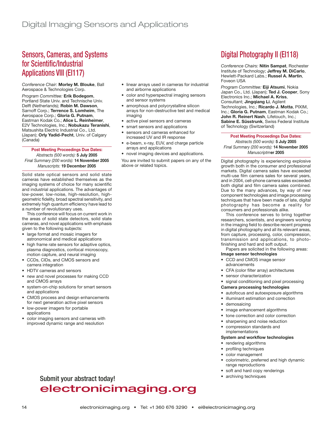### Sensors, Cameras, and Systems for Scientific/Industrial Applications VIII (EI117)

*Conference Chair:* **Morley M. Blouke**, Ball Aerospace & Technologies Corp.

*Program Committee:* **Erik Bodegom**, Portland State Univ. and Technische Univ. Delft (Netherlands); **Robin M. Dawson**, Sarnoff Corp.; **Terrence S. Lomheim**, The Aerospace Corp.; **Gloria G. Putnam**, Eastman Kodak Co.; **Alice L. Reinheimer**, E2V Technologies, Inc.; **Nobukazu Teranishi**, Matsushita Electric Industrial Co., Ltd. (Japan); **Orly Yadid-Pecht**, Univ. of Calgary (Canada)

**Post Meeting Proceedings Due Dates:**

*Abstracts (500 words):* **5 July 2005** *Final Summary (200 words):* **14 November 2005** *Manuscripts:* **19 December 2005**

Solid state optical sensors and solid state cameras have established themselves as the imaging systems of choice for many scientific and industrial applications. The advantages of low-power, low-noise, high-resolution, highgeometric fidelity, broad spectral sensitivity, and extremely high quantum efficiency have lead to a number of revolutionary uses.

This conference will focus on current work in the areas of solid state detectors, solid state cameras, and novel applications with emphasis given to the following subjects:

- large format and mosaic imagers for astronomical and medical applications
- high frame rate sensors for adaptive optics, plasma diagnostics, confocal microscopy, motion capture, and neural imaging
- CCDs, CIDs, and CMOS sensors and camera integration
- HDTV cameras and sensors
- new and novel processes for making CCD and CMOS arrays
- system-on-chip solutions for smart sensors and applications
- CMOS process and design enhancements for next generation active pixel sensors
- low-power imagers for portable applications
- color imaging sensors and cameras with improved dynamic range and resolution
- linear arrays used in cameras for industrial and airborne applications
- color and hyperspectral imaging sensors and sensor systems
- amorphous and polycrystalline silicon arrays for non-destructive test and medical imaging
- active pixel sensors and cameras
- smart sensors and applications
- sensors and cameras enhanced for increased UV and IR response
- e-beam, x-ray, EUV, and charge particle arrays and applications
- novel imaging devices and applications.

You are invited to submit papers on any of the above or related topics.

# Digital Photography II (EI118)

*Conference Chairs:* **Nitin Sampat**, Rochester Institute of Technology; **Jeffrey M. DiCarlo**, Hewlett-Packard Labs.; **Russel A. Martin**, Foveon USA

*Program Committee:* **Eiji Atsumi**, Nokia Japan Co., Ltd. (Japan); **Ted J. Cooper**, Sony Electronics Inc.; **Michael A. Kriss**, Consultant; **Jingqiang Li**, Agilent Technologies, Inc.; **Ricardo J. Motta**, PIXIM, Inc.; **Gloria G. Putnam**, Eastman Kodak Co.; **John R. Reinert Nash**, Lifetouch, Inc.; **Sabine E. Süsstrunk**, Swiss Federal Institute of Technology (Switzerland)

**Post Meeting Proceedings Due Dates:** *Abstracts (500 words):* **5 July 2005** *Final Summary (200 words):* **14 November 2005** *Manuscriptm***er 2005**

Digital photography is experiencing explosive growth both in the consumer and professional markets. Digital camera sales have exceeded multi-use film camera sales for several years, and in 2004, cell-phone camera sales exceeded both digital and film camera sales combined. Due to the many advances, by way of new component technologies and image processing techniques that have been made of late, digital photography has become a reality for consumers and professionals alike.

This conference serves to bring together researchers, scientists, and engineers working in the imaging field to describe recent progress in digital photography and all its relevant areas, from capture, processing, color, compression, transmission and applications, to photofinishing and hard and soft output.

Papers are solicited in the following areas: **Image sensor technologies**

- CCD and CMOS image sensor advancements
- CFA (color filter array) architectures
- sensor characterization
- signal conditioning and pixel processing

#### **Camera processing technologies**

- autofocus and autoexposure algorithms
- illuminant estimation and correction
- demosaicing
- image enhancement algorithms
- tone correction and color correction
- sharpening and noise reduction
- compression standards and implementations

#### **System and workflow technologies**

- rendering algorithms
- profiling techniques
- color management
- colorimetric, preferred and high dynamic range reproductions
- soft and hard copy renderings
- archiving techniques

# Submit your abstract today! electronicimaging.org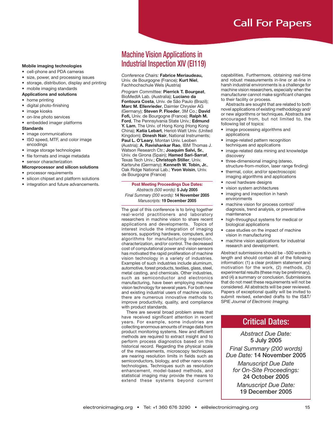#### **Mobile imaging technologies**

- cell-phone and PDA cameras
- size, power, and processing issues
- storage, distribution, display and printing
- mobile imaging standards

#### **Applications and solutions**

- home printing
- digital photo-finishing
- image kiosks
- on-line photo services
- embedded imager platforms

#### **Standards**

- image communications
- ISO speed, MTF, and color image encodings
- image storage technologies
- file formats and image metadata
- sensor characterization
- **Microprocessor and silicon solutions**
- processor requirements
- silicon chipset and platform solutions
- integration and future advancements.

### Machine Vision Applications in Industrial Inspection XIV (EI119)

*Conference Chairs:* **Fabrice Meriaudeau,** Univ. de Bourgogne (France); **Kurt Niel**, Fachhochschule Wels (Austria)

*Program Committee:* **Pierrick T. Bourgeat**, BioMedIA Lab. (Australia); **Luciano da Fontoura Costa**, Univ. de São Paulo (Brazil); **Marc M. Ellenrieder**, Daimler Chrysler AG (Germany); **Steven P. Floeder**, 3M Co.; **David Fofi,** Univ. de Bourgogne (France); **Ralph M. Ford**, The Pennsylvania State Univ.; **Edmund Y. Lam**, The Univ. of Hong Kong (Hong Kong China); **Katia Lebart**, Heriot-Watt Univ. (United Kingdom); **Dinesh Nair**, National Instruments; **Paul L. O'Leary**, Montan Univ. Leoben (Austria); **A. Ravishankar Rao**, IBM Thomas J. Watson Research Ctr.; **Joaquim Salvi, Sr.**, Univ. de Girona (Spain); **Hamed Sari-Sarraf**, Texas Tech Univ.; **Christoph Stiller**, Univ. Karlsruhe (Germany); **Kenneth W. Tobin, Jr.**, Oak Ridge National Lab.; **Yvon Voisin**, Univ. de Bourgogne (France)

**Post Meeting Proceedings Due Dates:** *Abstracts (500 words):* **5 July 2005** *Final Summary (200 words):* **14 November 2005** *Manuscripts:* **19 December 2005**

The goal of this conference is to bring together real-world practitioners and laboratory researchers in machine vision to share recent applications and developments. Topics of interest include the integration of imaging sensors, supporting hardware, computers, and algorithms for manufacturing inspection, characterization, and/or control. The decreased cost of computational power and vision sensors has motivated the rapid proliferation of machine vision technology in a variety of industries. Examples of such industries include aluminum, automotive, forest products, textiles, glass, steel, metal casting, and chemicals. Other industries, such as semiconductor and electronics manufacturing, have been employing machine vision technology for several years. For both new and existing industrial users of machine vision, there are numerous innovative methods to improve productivity, quality, and compliance with product standards.

There are several broad problem areas that have received significant attention in recent years. For example, some industries are collecting enormous amounts of image data from product monitoring systems. New and efficient methods are required to extract insight and to perform process diagnostics based on this historical record. Regarding the physical scale of the measurements, microscopy techniques are nearing resolution limits in fields such as semiconductors, biology, and other nano-scale technologies. Techniques such as resolution enhancement, model-based methods, and statistical imaging may provide the means to extend these systems beyond current capabilities. Furthermore, obtaining real-time and robust measurements in-line or at-line in harsh industrial environments is a challenge for machine vision researchers, especially when the manufacturer cannot make significant changes to their facility or process.

Abstracts are sought that are related to both novel applications of existing methodology and/ or new algorithms or techniques. Abstracts are encouraged from, but not limited to, the following list of topics:

- image processing algorithms and applications
- image-related pattern recognition techniques and applications
- image-related data mining and knowledge discovery
- three-dimensional imaging (stereo, structure-from-motion, laser range finding)
- thermal, color, and/or spectroscopic imaging algorithms and applications
- novel hardware designs
- vision system architectures
- imaging and inspection in harsh environments
- machine vision for process control/ diagnosis, trend analysis, or preventative maintenance
- high-throughput systems for medical or biological applications
- case studies on the impact of machine vision in manufacturing
- machine vision applications for industrial research and development.

Abstract submissions should be ~500 words in length and should contain all of the following information: (1) a clear problem statement and motivation for the work, (2) methods, (3) experimental results (these may be preliminary), and (4) a summary or conclusion. Submissions that do not meet these requirements will not be considered. All abstracts will be peer reviewed. Papers of exceptional quality will be invited to submit revised, extended drafts to the IS&T/ SPIE *Journal of Electronic Imaging.*

### Critical Dates:

*Abstract Due Date:* **5 July 2005** *Final Summary (200 words) Due Date:* **14 November 2005**

*Manuscript Due Date for On-Site Proceedings:* **24 October 2005**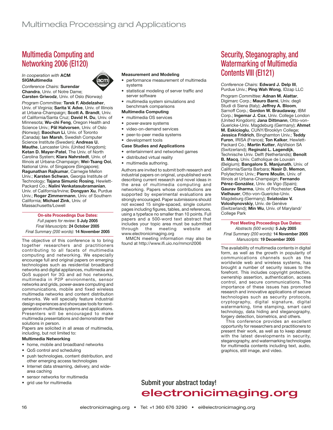# Multimedia Computing and Networking 2006 (EI120)

*In cooperation with* **ACM SIGMultimedia**



*Conference Chairs:* **Surendar Chandra**, Univ. of Notre Dame; **Carsten Griwodz**, Univ. of Oslo (Norway)

*Program Committee:* **Tarek F. Abdelzaher**, Univ. of Virginia; **Sarita V. Adve**, Univ. of Illinois at Urbana-Champaign; **Scott A. Brandt**, Univ. of California/Santa Cruz; **David H. Du**, Univ. of Minnesota; **Wu-chi Feng**, Oregon Health and Science Univ.; **Pål Halvorsen**, Univ. of Oslo (Norway); **Baochun Li**, Univ. of Toronto (Canada); **Ian Marsh**, Swedish Computer Science Institute (Sweden); **Andreas U. Mauthe**, Lancaster Univ. (United Kingdom); **Ketan D. Mayer-Patel**, The Univ. of North Carolina System; **Klara Nahrstedt**, Univ. of Illinois at Urbana-Champaign; **Wei-Tsang Ooi**, National Univ. of Singapore (Singapore); **Ragunathan Rajkumar**, Carnegie Mellon Univ.; **Karsten Schwan**, Georgia Institute of Technology; **Tajana Simunic Rosing**, Hewlett-Packard Co.; **Nalini Venkatasubramanian**, Univ. of California/Irvine; **Dongyan Xu**, Purdue Univ.; **Roger Zimmermann**, Univ. of Southern California; **Michael Zink**, Univ. of Massachusetts/Lowell

### **On-site Proceedings Due Dates:**

*Full papers for review:* **5 July 2005** *Final Manuscripts:* **24 October 2005** *Final Summary (200 words):* **14 November 2005**

The objective of this conference is to bring together researchers and practitioners contributing to all facets of multimedia computing and networking. We especially encourage full and original papers on emerging technologies such as residential broadband networks and digital appliances, multimedia and QoS support for 3G and ad hoc networks, multimedia in P2P environments, sensor networks and grids, power-aware computing and communications, mobile and fixed wireless multimedia networks and content distribution networks. We will specially feature industrial design experiences and showcase tools for nextgeneration multimedia systems and applications. Presenters will be encouraged to make multimedia presentations and demonstrate their solutions in person.

Papers are solicited in all areas of multimedia, including, but not limited to:

#### **Multimedia Networking**

- home, mobile and broadband networks
- QoS control and scheduling
- push technologies, content distribution, and other emerging access technologies
- Internet data streaming, delivery, and widearea caching
- sensor networks for multimedia
- grid use for multimedia

#### **Measurement and Modeling**

- performance measurement of multimedia systems
- statistical modeling of server traffic and server software
- multimedia system simulations and benchmark comparisons

#### **Multimedia Computing**

- multimedia OS services
- power-aware systems
- video-on-demand services
- peer-to-peer media systems
- development tools

#### **Case Studies and Applications**

- entertainment and networked games
- distributed virtual reality
- multimedia authoring.

Authors are invited to submit both research and industrial papers on original, unpublished work describing current research and novel ideas in the area of multimedia computing and networking. Papers whose contributions are supported by experimental evaluations are strongly encouraged. Paper submissions should not exceed 15 single-spaced, single column pages including figures, tables, and references, using a typeface no smaller than 10 points. Full papers and a 500-word text abstract that includes your topic area must be submitted through the meeting website at www.electronicimaging.org

MMCN meeting information may also be found at http://www.ifi.uio.no/mmcn2006

### Security, Steganography, and Watermarking of Multimedia Contents VIII (EI121)

*Conference Chairs:* **Edward J. Delp III**, Purdue Univ.; **Ping Wah Wong**, IDzap LLC

*Program Committee:* **Adnan M. Alattar**, Digimarc Corp.; **Mauro Barni**, Univ. degli Studi di Siena (Italy); **Jeffrey A. Bloom**, Sarnoff Corp.; **Gordon W. Braudaway**, IBM Corp.; **Ingemar J. Cox**, Univ. College London (United Kingdom); **Jana Dittmann**, Otto-von-Guericke-Univ. Magdeburg (Germany); **Ahmet M. Eskicioglu**, CUNY/Brooklyn College; **Jessica Fridrich**, Binghamton Univ.; **Teddy Furon**, IRISA (France); **Ton Kalker**, Hewlett-Packard Co.; **Martin Kutter**, AlpVision SA (Switzerland); **Reginald L. Lagendijk**, Technische Univ. Delft (Netherlands); **Benoît B. Macq**, Univ. Catholique de Louvain (Belgium); **Bangalore S. Manjunath**, Univ. of California/Santa Barbara; **Nasir D. Memon**, Polytechnic Univ.; **Pierre Moulin**, Univ. of Illinois at Urbana-Champaign; **Fernando Pérez-González**, Univ. de Vigo (Spain); **Gaurav Sharma**, Univ. of Rochester; **Claus Vielhauer**, Otto-von-Guericke-Univ. Magdeburg (Germany); **Sviatoslav V. Voloshynovskiy**, Univ. de Genève (Switzerland); **Min Wu**, Univ. of Maryland/ College Park

#### **Post Meeting Proceedings Due Dates:**

*Abstracts (500 words):* **5 July 2005** *Final Summary (200 words):* **14 November 2005** *Manuscripts:* **19 December 2005**

The availability of multimedia contents in digital form, as well as the growth in popularity of communications channels such as the worldwide web and wireless systems, has brought a number of security issues to the forefront. This includes copyright protection, ownership assertion, authentication, access control, and secure communications. The importance of these issues has promoted research and innovative applications of secure technologies such as security protocols, cryptography, digital signature, digital watermarking, time stamping, smart card technology, data hiding and steganography, forgery detection, biometrics, and others.

This conference provides an excellent opportunity for researchers and practitioners to present their work, as well as to keep abreast with the latest developments in security, steganography, and watermarking technologies for multimedia contents including text, audio, graphics, still image, and video.

### Submit your abstract today! electronicimaging.org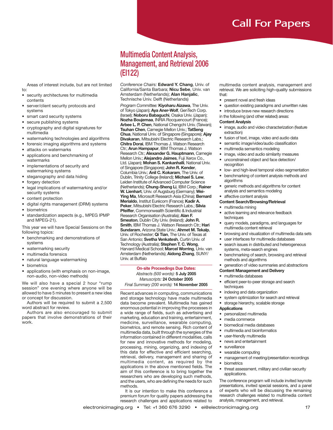Areas of interest include, but are not limited to:

- security architectures for multimedia contents
- server/client security protocols and systems
- smart card security systems
- secure publishing systems
- cryptography and digital signatures for multimedia
- watermarking technologies and algorithms
- forensic imaging algorithms and systems
- attacks on watermarks
- applications and benchmarking of watermarks
- implementations of security and watermarking systems
- steganography and data hiding
- forgery detection
- legal implications of watermarking and/or security systems
- content protection
- digital rights management (DRM) systems
- biometrics
- standardization aspects (e.g., MPEG IPMP and MPEG-21).

This year we will have Special Sessions on the following topics:

- benchmarking and demonstrations of systems
- watermarking security
- multimedia forensics
- natural language watermarking
- biometrics
- applications (with emphasis on non-image, non-audio, non-video methods)

We will also have a special 2 hour "rump session" one evening where anyone will be allowed to have 5 minutes to present a new idea or concept for discussion.

Authors will be required to submit a 2,500 word abstract for review.

Authors are also encouraged to submit papers that involve demonstrations of their work.

### Multimedia Content Analysis, Management, and Retrieval 2006 (EI122)

*Conference Chairs:* **Edward Y. Chang**, Univ. of California/Santa Barbara; **Nicu Sebe**, Univ. van Amsterdam (Netherlands); **Alan Hanjalic**, Technische Univ. Delft (Netherlands)

*Program Committee:* **Kiyoharu Aizawa**, The Univ. of Tokyo (Japan); **Aya Aner-Wolf**, GenTech Corp. (Israel); **Noboru Babaguchi**, Osaka Univ. (Japan); **Nozha Boujemaa**, INRIA Rocquencourt (France); **Arbee L. P. Chen**, National Chengchi Univ. (Taiwan); **Tsuhan Chen**, Carnegie Mellon Univ.; **TatSeng Chua**, National Univ. of Singapore (Singapore); **Ajay Divakaran**, Mitsubishi Electric Research Labs.; **Chitra Dorai**, IBM Thomas J. Watson Research Ctr.; **Arun Hampapur**, IBM Thomas J. Watson Research Ctr.; **Alexander G. Hauptmann**, Carnegie Mellon Univ.; **Alejandro Jaimes**, Fuji Xerox Co., Ltd. (Japan); **Mohan S. Kankanhalli**, National Univ. of Singapore (Singapore); **John R. Kender**, Columbia Univ.; **Anil C. Kokaram**, The Univ. of Dublin, Trinity College (Ireland); **Michael S. Lew**, Leiden Institute of Advanced Computer Science (Netherlands); **Chung-Sheng Li**, IBM Corp.; **Rainer W. Lienhart**, Univ. of Augsburg (Germany); **Wei-Ying Ma**, Microsoft Research Asia (China); **Bernard Merialdo**, Institut Eurécom (France); **Kadir A. Peker**, Mitsubishi Electric Research Labs.; **Silvia Pfeiffer**, Commonwealth Scientific & Industrial Research Organisation (Australia); **Alan F. Smeaton**, Dublin City Univ. (Ireland); **John R. Smith**, IBM Thomas J. Watson Research Ctr.; **Hari Sundaram**, Arizona State Univ.; **Ahmet M. Tekalp**, Univ. of Rochester; **Qi Tian**, The Univ. of Texas at San Antonio; **Svetha Venkatesh**, Curtin Univ. of Technology (Australia); **Stephen T. C. Wong**, Harvard Medical School; **Marcel Worring**, Univ. van Amsterdam (Netherlands); **Aidong Zhang**, SUNY/ Univ. at Buffalo

**On-site Proceedings Due Dates:** *Abstracts (500 words):* **5 July 2005** *Manuscripts:* **24 October 2005** *Final Summary (200 words):* **14 November 2005**

Recent advances in computing, communications and storage technology have made multimedia data become prevalent. Multimedia has gained enormous potential in improving the processes in a wide range of fields, such as advertising and marketing, education and training, entertainment, medicine, surveillance, wearable computing, biometrics, and remote sensing. Rich content of multimedia data, built through the synergies of the information contained in different modalities, calls for new and innovative methods for modeling, processing, mining, organizing, and indexing of this data for effective and efficient searching, retrieval, delivery, management and sharing of multimedia content, as required by the applications in the above mentioned fields. The aim of this conference is to bring together the researchers who are developing such methods, and the users, who are defining the needs for such methods.

It is our intention to make this conference a premium forum for quality papers addressing the research challenges and applications related to

multimedia content analysis, management and retrieval. We are soliciting high-quality submissions that:

- present novel and fresh ideas
- question existing paradigms and unwritten rules
- introduce brave new research directions
- in the following (and other related) areas:

#### **Content Analysis**

- image, audio and video characterization (feature extraction)
- fusion of text, image, video and audio data
- semantic image/video/audio classification
- multimedia semantics modeling
- image, video and audio similarity measures
- unconstrained object and face detection/
- recognition • low- and high-level temporal video segmentation
- benchmarking of content analysis methods and algorithms
- generic methods and algorithms for content analysis and semantics modeling

#### affective content analysis **Content Search/Browsing/Retrieval**

- multimedia mining
- active learning and relevance feedback techniques
- query models, paradigms, and languages for multimedia content retrieval
- browsing and visualization of multimedia data sets
- user interfaces for multimedia databases
- search issues in distributed and heterogeneous systems, meta-search engines
- benchmarking of search, browsing and retrieval methods and algorithms
- generation of video summaries and abstractions
- **Content Management and Delivery**
- multimedia databases
- efficient peer-to-peer storage and search techniques
- indexing and data organization
- system optimization for search and retrieval
- storage hierarchy, scalable storage

#### **Applications**

- personalized multimedia
- media commerce
- biomedical media databases
- multimedia and bioinformatics
- user-friendly multimedia
- news and entertainment
- surveillance
- wearable computing
- management of meeting/presentation recordings
- biometrics
- threat assessment, military and civilian security applications.

The conference program will include invited keynote presentations, invited special sessions, and a panel of experts who will be discussing the remaining research challenges related to multimedia content analysis, management, and retrieval.

electronicimaging.org • Tel: +1 360 676 3290 • ei@electronicimaging.org 17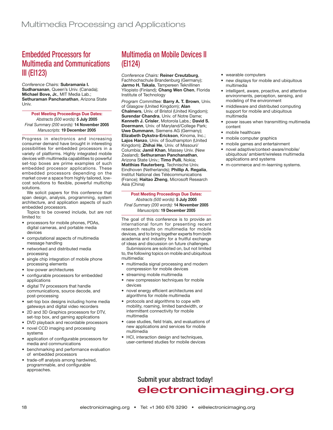# Embedded Processors for Multimedia and Communications III (EI123)

*Conference Chairs:* **Subramania I. Sudharsanan**, Queen's Univ. (Canada); **Michael Bove, Jr.**, MIT Media Lab.; **Sethuraman Panchanathan**, Arizona State Univ.

**Post Meeting Proceedings Due Dates:**

*Abstracts (500 words):* **5 July 2005** *Final Summary (200 words):* **14 November 2005** *Manuscripts:* **19 December 2005**

Progress in electronics and increasing consumer demand have brought in interesting possibilities for embedded processors in a variety of platforms. Highly integrated mobile devices with multimedia capabilities to powerful set-top boxes are prime examples of such embedded processor applications. These embedded processors depending on the market cover a space from highly tailored, lowcost solutions to flexible, powerful multichip solutions.

We solicit papers for this conference that span design, analysis, programming, system architecture, and application aspects of such embedded processors.

Topics to be covered include, but are not limited to:

- processors for mobile phones, PDAs, digital cameras, and portable media devices
- computational aspects of multimedia message handling
- networked and distributed media processing
- single chip integration of mobile phone processing elements
- low-power architectures
- configurable processors for embedded applications
- digital TV processors that handle communications, source decode, and post-processing
- set-top box designs including home media gateways and digital video recorders
- 2D and 3D Graphics processors for DTV, set-top box, and gaming applications
- DVD playback and recordable processors
- novel CCD imaging and processing systems
- application of configurable processors for media and communications
- benchmarking and performance evaluation of embedded processors
- trade-off analysis among hardwired, programmable, and configurable approaches.

# Multimedia on Mobile Devices II (EI124)

*Conference Chairs:* **Reiner Creutzburg**, Fachhochschule Brandenburg (Germany); **Jarmo H. Takala**, Tampereen Teknillinen Yliopisto (Finland); **Chang Wen Chen**, Florida Institute of Technology

*Program Committee:* **Barry A. T. Brown**, Univ. of Glasgow (United Kingdom); **Alan Chalmers**, Univ. of Bristol (United Kingdom); **Surendar Chandra**, Univ. of Notre Dame; **Kenneth J. Crisler**, Motorola Labs.; **David S. Doermann**, Univ. of Maryland/College Park; **Uwe Dummann**, Siemens AG (Germany); **Elizabeth Dykstra-Erickson**, Kinoma, Inc.; **Lajos Hanzo**, Univ. of Southampton (United Kingdom); **Zhihai He**, Univ. of Missouri/ Columbia; **Jamil Khan**, Massey Univ. (New Zealand); **Sethuraman Panchanathan**, Arizona State Univ.; **Timo Pulli**, Nokia; **Matthias Rauterberg**, Technische Univ. Eindhoven (Netherlands); **Phillip A. Regalia**, Institut National des Télécommunications (France); **Haitao Zheng**, Microsoft Research Asia (China)

**Post Meeting Proceedings Due Dates:** *Abstracts (500 words):* **5 July 2005** *Final Summary (200 words):* **14 November 2005** *Manuscripts:* **19 December 2005**

The goal of this conference is to provide an international forum for presenting recent research results on multimedia for mobile devices, and to bring together experts from both academia and industry for a fruitful exchange of ideas and discussion on future challenges.

Submissions are solicited on, but not limited to, the following topics on mobile and ubiquitous multimedia:

- multimedia signal processing and modern compression for mobile devices
- streaming mobile multimedia
- new compression techniques for mobile devices
- novel energy efficient architectures and algorithms for mobile multimedia
- protocols and algorithms to cope with mobility, roaming, limited bandwidth, or intermittent connectivity for mobile multimedia
- case studies, field trials, and evaluations of new applications and services for mobile multimedia
- HCI, interaction design and techniques, user-centered studies for mobile devices
- wearable computers
- new displays for mobile and ubiquitous multimedia
- intelligent, aware, proactive, and attentive environments, perception, sensing, and modeling of the environment
- middleware and distributed computing support for mobile and ubiquitous multimedia
- power issues when transmitting multimedia content
- mobile healthcare
- mobile computer graphics
- mobile games and entertainment
- novel adaptive/context-aware/mobile/ ubiquitous/ ambient/wireless multimedia applications and systems
- m-commerce and m-learning systems.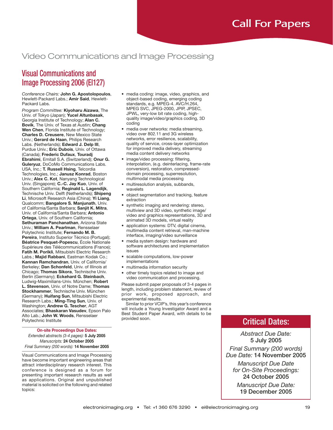# Video Communications and Image Processing

### Visual Communications and Image Processing 2006 (EI127)

*Conference Chairs:* **John G. Apostolopoulos**, Hewlett-Packard Labs.; **Amir Said**, Hewlett-Packard Labs.

*Program Committee:* **Kiyoharu Aizawa**, The Univ. of Tokyo (Japan); **Yucel Altunbasak**, Georgia Institute of Technology; **Alan C. Bovik**, The Univ. of Texas at Austin; **Chang Wen Chen**, Florida Institute of Technology; **Charles D. Creusere**, New Mexico State Univ.; **Gerard de Haan**, Philips Research Labs. (Netherlands); **Edward J. Delp III**, Purdue Univ.; **Eric Dubois**, Univ. of Ottawa (Canada); **Frederic Dufaux**, **Touradj Ebrahimi**, Emitall S.A. (Switzerland); **Onur G. Guleryuz**, DoCoMo Communications Labs. USA, Inc.; **T. Russell Hsing**, Telcordia Technologies, Inc.; **Janusz Konrad**, Boston Univ.; **Alex C. Kot**, Nanyang Technological Univ. (Singapore); **C.-C. Jay Kuo**, Univ. of Southern California; **Reginald L. Lagendijk**, Technische Univ. Delft (Netherlands); **Shipeng Li**, Microsoft Research Asia (China); **Yi Liang**, Qualcomm; **Bangalore S. Manjunath**, Univ. of California/Santa Barbara; **Sanjit K. Mitra**, Univ. of California/Santa Barbara; **Antonio Ortega**, Univ. of Southern California; **Sethuraman Panchanathan**, Arizona State Univ.; **William A. Pearlman**, Rensselaer Polytechnic Institute; **Fernando M. B. Pereira**, Instituto Superior Técnico (Portugal); **Béatrice Pesquet-Popescu**, École Nationale Supérieure des Télécommunications (France); **Fatih M. Porikli**, Mitsubishi Electric Research Labs.; **Majid Rabbani**, Eastman Kodak Co.; **Kannan Ramchandran**, Univ. of California/ Berkeley; **Dan Schonfeld**, Univ. of Illinois at Chicago; **Thomas Sikora**, Technische Univ. Berlin (Germany); **Eckehard G. Steinbach**, Ludwig-Maximilians-Univ. München; **Robert L. Stevenson**, Univ. of Notre Dame; **Thomas Stockhammer**, Technische Univ. München (Germany); **Huifang Sun**, Mitsubishi Electric Research Labs.; **Ming-Ting Sun**, Univ. of Washington; **Andrew G. Tescher**, AGT Associates; **Bhaskaran Vasudev**, Epson Palo Alto Lab.; **John W. Woods**, Rensselaer Polytechnic Institute

**On-site Proceedings Due Dates:** *Extended abstracts (3-4 pages):* **5 July 2005** *Manuscripts:* **24 October 2005** *Final Summary (200 words):* **14 November 2005**

Visual Communications and Image Processing have become important engineering areas that attract interdisciplinary research interest. This conference is designed as a forum for presenting important research results as well as applications. Original and unpublished material is solicited on the following and related topics:

- media coding: image, video, graphics, and object-based coding, emerging coding standards, e.g. MPEG-4. AVC/H.264, MPEG SVC, JPEG-2000, JPIP, JPSEC, JPWL, very-low bit rate coding, highquality image/video/graphics coding, 3D coding
- media over networks: media streaming, video over 802.11 and 3G wireless networks, error resilience, scalability, quality of service, cross-layer optimization for improved media delivery, streaming media content delivery networks
- image/video processing: filtering, interpolation, (e.g. deinterlacing, frame-rate conversion), restoration, compresseddomain processing, superresolution, multimodal media processing
- multiresolution analysis, subbands, wavelets
- object segmentation and tracking, feature extraction
- synthetic imaging and rendering: stereo, multiview and 3D video, synthetic image/ video and graphics representations, 3D and animated 3D models, virtual reality
- application systems: DTV, digital cinema, multimedia content retrieval, man-machine interface, imaging/video surveillance
- media system design: hardware and software architectures and implementation issues
- scalable computations, low-power implementations
- multimedia information security
- other timely topics related to image and video communication and processing.

Please submit paper proposals of 3-4 pages in length, including problem statement, review of prior work, proposed approach, and experimental results.

Similar to prior VCIP's, this year's conference will include a Young Investigator Award and a Best Student Paper Award, with details to be provided soon.

### Critical Dates:

*Abstract Due Date:* **5 July 2005** *Final Summary (200 words) Due Date:* **14 November 2005**

*Manuscript Due Date for On-Site Proceedings:* **24 October 2005**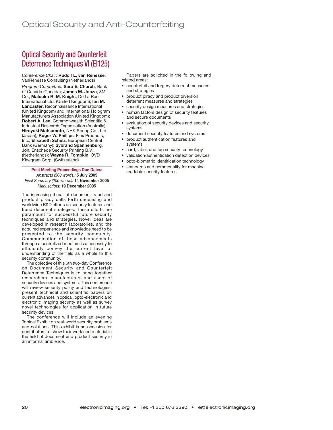# Optical Security and Counterfeit Deterrence Techniques VI (EI125)

*Conference Chair:* **Rudolf L. van Renesse**, VanRenesse Consulting (Netherlands)

*Program Committee:* **Sara E. Church**, Bank of Canada (Canada); **James M. Jonza**, 3M Co.; **Malcolm R. M. Knight**, De La Rue International Ltd. (United Kingdom); **Ian M. Lancaster**, Reconnaissance International (United Kingdom) and International Hologram Manufacturers Association (United Kingdom); **Robert A. Lee**, Commonwealth Scientific & Industrial Research Organisation (Australia); **Hiroyuki Matsumoto**, NHK Spring Co., Ltd. (Japan); **Roger W. Phillips**, Flex Products, Inc.; **Elisabeth Schulz**, European Central Bank (Germany); **Sybrand Spannenburg**, Joh. Enschedé Security Printing B.V. (Netherlands); **Wayne R. Tompkin**, OVD Kinegram Corp. (Switzerland)

### **Post Meeting Proceedings Due Dates:**

*Abstracts (500 words):* **5 July 2005** *Final Summary (200 words):* **14 November 2005** *Manuscripts:* **19 December 2005**

The increasing threat of document fraud and product piracy calls forth unceasing and worldwide R&D efforts on security features and fraud deterrent strategies. These efforts are paramount for successful future security techniques and strategies. Novel ideas are developed in research laboratories, and the acquired experience and knowledge need to be presented to the security community. Communication of these advancements through a centralized medium is a necessity to efficiently convey the current level of understanding of the field as a whole to this security community.

The objective of this 6th two-day Conference on Document Security and Counterfeit Deterrence Techniques is to bring together researchers, manufacturers and users of security devices and systems. This conference will review security policy and technologies, present technical and scientific papers on current advances in optical, opto-electronic and electronic imaging security as well as survey novel technologies for application in future security devices.

The conference will include an evening Topical Exhibit on real-world security problems and solutions. This exhibit is an occasion for contributors to show their work and material in the field of document and product security in an informal ambience.

Papers are solicited in the following and related areas:

- counterfeit and forgery deterrent measures and strategies
- product piracy and product diversion deterrent measures and strategies
- security design measures and strategies
- human factors design of security features and secure documents
- evaluation of security devices and security systems
- document security features and systems
- product authentication features and systems
- card, label, and tag security technology
- validation/authentication detection devices
- opto-biometric identification technology
- standards and commonality for machine readable security features.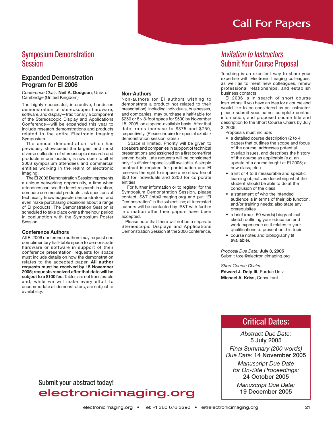### Symposium Demonstration Session

### **Expanded Demonstration Program for EI 2006**

*Conference Chair:* **Neil A. Dodgson**, Univ. of Cambridge (United Kingdom)

The highly-successful, interactive, hands-on demonstration of stereoscopic hardware, software, and display—traditionally a component of the Stereoscopic Display and Applications Conference—will be expanded this year to include research demonstrations and products related to the entire Electronic Imaging Symposium.

The annual demonstration, which has previously showcased the largest and most diverse collection of stereoscopic research and products in one location, is now open to all EI 2006 symposium attendees and commercial entities working in the realm of electronic imaging!

The EI 2006 Demonstration Session represents a unique networking opportunity, a time when attendees can see the latest research in action, compare commercial products, ask questions of technically knowledgeable demonstrators, and even make purchasing decisions about a range of EI products. The Demonstration Session is scheduled to take place over a three hour period in conjunction with the Symposium Poster Session.

### **Conference Authors**

All EI 2006 conference authors may request one complimentary half-table space to demonstrate hardware or software in support of their conference presentation; requests for space must include details on how the demonstration relates to the accepted paper. **All author requests must be received by 15 November 2005; requests received after that date will be subject to a \$100 fee.** Tables are not transferable and, while we will make every effort to accommodate all demonstrators, are subject to availability.

#### **Non-Authors**

Non-authors (or EI authors wishing to demonstrate a product not related to their presentation), including individuals, businesses, and companies, may purchase a half-table for \$250 or 8 × 8-foot space for \$500 by November 15, 2005, on a space-available basis. After that date, rates increase to \$375 and \$750, respectively. (Please inquire for special exhibit/ demonstration session rates.)

 Space is limited. Priority will be given to speakers and companies in support of technical presentations and assigned on a first come/first served basis. Late requests will be considered only if sufficient space is still available. A simple contract is required for participation and EI reserves the right to impose a no show fee of \$50 for individuals and \$200 for corporate entities.

 For further information or to register for the Symposium Demonstration Session, please contact IS&T (info@imaging.org) and put "EI Demonstration" in the subject line; all interested authors will be contacted by IS&T with further information after their papers have been accepted.

Please note that there will not be a separate Stereoscopic Displays and Applications Demonstration Session at the 2006 conference.

### Invitation to Instructors Submit Your Course Proposal

Teaching is an excellent way to share your expertise with Electronic Imaging colleagues, as well as to meet new colleagues, renew professional relationships, and establish business contacts.

EI 2006 is in search of short course instructors. If you have an idea for a course and would like to be considered as an instructor, please submit your name, complete contact information, and proposed course title and description to the Short Course Chairs by July 3, 2005.

- Proposals must include:
- a detailed course description (2 to 4 pages) that outlines the scope and focus of the course, addresses potential overlap issues, and describes the history of the course as applicable (e.g. an update of a course taught at EI 2005; a new class; etc.)
- a list of 4 to 6 measurable and specific learning objectives describing what the student should be able to do at the conclusion of the class
- a statement of who the intended audience is in terms of their job function, and/or training needs; also state any prerequisites
- a brief (max. 50 words) biographical sketch outlining your education and work experience as it relates to your qualifications to present on this topic
- course notes and bibliography (if available).

*Proposal Due Date:* **July 3, 2005** Submit to:ei@electronicimaging.org

*Short Course Chairs:* **Edward J. Delp III, Purdue Univ. Michael A. Kriss,** Consultant

### Critical Dates:

*Abstract Due Date:* **5 July 2005** *Final Summary (200 words) Due Date:* **14 November 2005**

*Manuscript Due Date for On-Site Proceedings:* **24 October 2005**

*Manuscript Due Date:* **19 December 2005**

Submit your abstract today!

# electronicimaging.org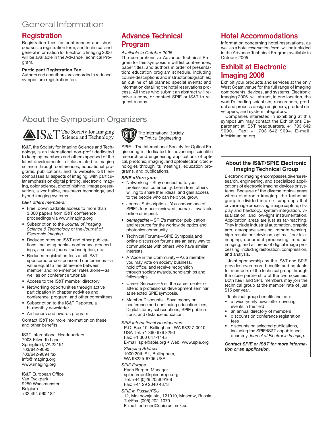### General Information

### **Registration**

Registration fees for conferences and short courses, a registration form, and technical and general information for Electronic Imaging 2006 will be available in the Advance Technical Program.

#### **Participant Registration Fee**

Authors and coauthors are accorded a reduced symposium registration fee.

### **Advance Technical Program**

#### *Available in October 2005*.

The comprehensive Advance Technical Program for this symposium will list conferences, paper titles, and authors in order of presentation; education program schedule, including course descriptions and instructor biographies; an outline of all planned special events; and information detailing the hotel reservations process. All those who submit an abstract will receive a copy, or contact SPIE or IS&T to request a copy.

### About the Symposium Organizers



IS&T, the Society for Imaging Science and Technology, is an international non-profit dedicated to keeping members and others apprised of the latest developments in fields related to imaging science through conferences, educational programs, publications, and its website. IS&T encompasses all aspects of imaging, with particular emphasis on digital printing, electronic imaging, color science, photofinishing, image preservation, silver halide, pre-press technology, and hybrid imaging systems.

#### *IS&T offers members:*

- Free, downloadable access to more than 3,000 papers from IS&T conference proceedings via www.imaging.org
- Subscription to the *Journal of Imaging Science & Technology* or the *Journal of Electronic Imaging*
- Reduced rates on IS&T and other publications, including books, conference proceedings, a second journal subscription, etc.
- Reduced registration fees at all IS&T sponsored or co-sponsored conferences—a value equal to the difference between member and non-member rates alone—as well as on conference tutorials
- Access to the IS&T member directory
- Networking opportunities through active participation in chapter activities and conference, program, and other committees
- Subscription to the IS&T Reporter, a bi-monthly newsletter
- An honors and awards program

Contact IS&T for more information on these and other benefits.

IS&T International Headquarters 7003 Kilworth Lane Springfield, VA 22151 703/642-9090 703/642-9094 fax info@imaging.org www.imaging.org

IS&T European Office Van Eyckpark 1 9250 Waasmunster Belgium +32 494 560 182

**GPLE** The International Society for Optical Engineering

SPIE—The International Society for Optical Engineering is dedicated to advancing scientific research and engineering applications of optical, photonic, imaging, and optoelectronic technologies through its meetings, education programs, and publications.

#### *SPIE offers you:*

- Networking—Stay connected to your professional community. Learn from others willing to share their ideas, and gain access to the people who can help you grow.
- Journal Subscription—You choose one of SPIE's four peer-reviewed journals—available online or in print.
- **oe***magazine*—SPIE's member publication and resource for the worldwide optics and photonics community.
- Technical Forums—SPIE Symposia and online discussion forums are an easy way to communicate with others who have similar interests.
- A Voice in the Community—As a member you may vote on society business, hold office, and receive recognition through society awards, scholarships and fellowships.
- Career Services—Visit the career center or attend a professional development seminar at selected SPIE symposia.
- Member Discounts—Save money on conference and continuing education fees, Digital Library subscriptions, SPIE publications, and distance education.

*SPIE International Headquarters* P.O. Box 10, Bellingham, WA 98227-0010 USA Tel: +1 360 676 3290 Fax: +1 360 647-1445 E-mail: spie@spie.org • Web: www.spie.org *Shipping Address* 1000 20th St., Bellingham, WA 98225-6705 USA

*SPIE Europe* Karin Burger, Manager spieeurope@spieeurope.org Tel: +44 (0)29 2056 9169 Fax: +44 29 2040 4873

E-mail: edmund@spierus.msk.su *SPIE in Russia/FSU* 12, Mokhovaja str., 121019, Moscow, Russia Tel/Fax: (095) 202-1079

### **Hotel Accommodations**

Information concerning hotel reservations, as well as a hotel reservation form, will be included in the Advance Technical Program available in October 2005.

### **Exhibit at Electronic Imaging 2006**

Exhibit your products and services at the only West Coast venue for the full range of imaging components, devices, and systems. Electronic Imaging 2006 will attract, in one location, the world's leading scientists, researchers, product and process design engineers, product developers, and system integrators.

Companies interested in exhibiting at this symposium may contact the Exhibitions Department at IS&T headquarters, +1 703 642 9090. Fax: +1 703 642 9094, E-mail: info@imaging.org.

### **About the IS&T/SPIE Electronic Imaging Technical Group**

Electronic imaging encompasses diverse research, engineering, and specialized applications of electronic imaging devices or systems. Because of the diverse topical areas within electronic imaging, the technical group is divided into six subgroups that cover image processing, image capture, display and hardcopy, system integration, visualization, and low-light instrumentation. Application areas are just as far-reaching. They include industrial automation, graphic arts, aerospace sensing, remote sensing, high-resolution television, optimal fiber teleimaging, document processing, medical imaging, and all areas of digital image processing, including restoration, compression, and analysis.

 Joint sponsorship by the IS&T and SPIE provides even more benefits and contacts for members of the technical group through the close partnership of the two societies. Both IS&T and SPIE members may join the technical group at the member rate of just \$15 per year.

Technical group benefits include:

- a twice-yearly newsletter covering events in the field
- an annual directory of members
- discounts on conference registration fees
- discounts on selected publications, including the SPIE/IS&T copublished quarterly *Journal of Electronic Imaging.*

*Contact SPIE or IS&T for more information or an application.*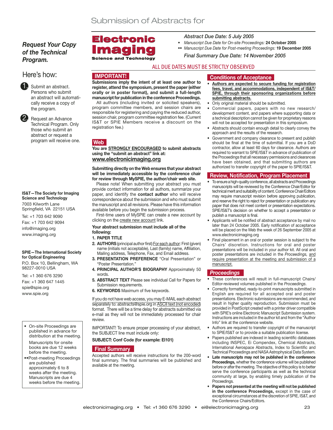### *Request Your Copy of the Technical Program.*

### Here's how:

Submit an abstract. Persons who submit an abstract will automatically receive a copy of the program.

Request an Advance Technical Program. Only those who submit an abstract or request a program will receive one.

**IS&T—The Society for Imaging Science and Technology** 7003 Kilworth Lane

Springfield, VA 22151 USA

Tel: +1 703 642 9090 Fax: +1 703 642 9094 info@imaging.org www.imaging.org

#### **SPIE—The International Society for Optical Engineering** P.O. Box 10, Bellingham, WA 98227-0010 USA

Tel: +1 360 676 3290 Fax: +1 360 647 1445 spie@spie.org www.spie.org

On-site Proceedings are published in advance for distribution at the meeting. Manuscripts for onsite books are due 12 weeks before the meeting.

••Post-meeting Proceedings are published approximately 6 to 8 weeks after the meeting. Manuscripts are due 4 weeks before the meeting.

### Electronic mad **Science and Technology**

*Abstract Due Date: 5 July 2005*

- *Manuscript Due Date for On-site Proceedings:* **24 October 2005**
- *•• Manuscript Due Date for Post-meeting Proceedings:* **19 December 2005**

*Final Summary Due Date: 14 November 2005*

### ALL DUE DATES MUST BE STRICTLY OBSERVED

### **IMPORTANT!**

**Submissions imply the intent of at least one author to register, attend the symposium, present the paper (either orally or in poster format), and submit a full-length manuscript for publication in the conference Proceedings.**

All authors (including invited or solicited speakers), program committee members, and session chairs are responsible for registering and paying the reduced author, session chair, program committee registration fee. (Current IS&T or SPIE Members receive a discount on the registration fee.)

### **Web**

**You are STRONGLY ENCOURAGED to submit abstracts using the "submit an abstract" link at: www.electronicimaging.org**

**Submitting directly on the Web ensures that your abstract will be immediately accessible by the conference chair for review through MySPIE, the author/chair web site.**

Please note! When submitting your abstract you must provide contact information for all authors, summarize your paper, and identify the **contact author** who will receive correspondence about the submission and who must submit the manuscript and all revisions. Please have this information available before you begin the submission process.

First-time users of MySPIE can create a new account by clicking on the create new account link.

#### **Your abstract submission must include all of the following:**

#### **1. PAPER TITLE**

- **2. AUTHORS** (principal author first) For each author: First (given) name (initials not acceptable), Last (family) name, Affiliation, Mailing address, Telephone, Fax, and Email address.
- **3. PRESENTATION PREFERENCE** "Oral Presentation" or "Poster Presentation."
- **4. PRINCIPAL AUTHOR'S BIOGRAPHY** Approximately 50 words.
- **5. ABSTRACT TEXT** Please see individual Call for Papers for Submission requirements.
- **6. KEYWORDS** Maximum of five keywords.

If you do not have web access, you may E-MAIL each abstract separately to: abstracts@spie.org in ASCII text (not encoded) format. There will be a time delay for abstracts submitted via e-mail as they will not be immediately processed for chair review.

IMPORTANT! To ensure proper processing of your abstract, the SUBJECT line must include only:

### **SUBJECT: Conf Code (for example: EI101)**

### **Final Summary**

Accepted authors will receive instructions for the 200-word final summary. The final summaries will be published and available at the meeting.

### **Conditions of Acceptance**

- **Authors are expected to secure funding for registration fees, travel, and accommodations, independent of IS&T/ SPIE, through their sponsoring organizations before submitting abstracts.**
- Only original material should be submitted.
- Commercial papers, papers with no new research/ development content, and papers where supporting data or a technical description cannot be given for proprietary reasons will not be accepted for presentation in this symposium.
- Abstracts should contain enough detail to clearly convey the approach and the results of the research.
- Government and company clearance to present and publish should be final at the time of submittal. If you are a DoD contractor, allow at least 60 days for clearance. Authors are required to warrant to SPIE/IS&T in advance of publication of the Proceedings that all necessary permissions and clearances have been obtained, and that submitting authors are authorized to transfer copyright of the paper to SPIE/IS&T.

### **Review, Notification, Program Placement**

- To ensure a high-quality conference, all abstracts and Proceedings manuscripts will be reviewed by the Conference Chair/Editor for technical merit and suitability of content. Conference Chair/Editors may require manuscript revision before approving publication, and reserve the right to reject for presentation or publication any paper that does not meet content or presentation expectations. SPIE/IS&T's decision on whether to accept a presentation or publish a manuscript is final.
- Applicants will be notified of abstract acceptance by mail no later than 24 October 2005. Early notification of acceptance will be placed on the Web the week of 26 September 2005 at www.electronicimaging.org
- Final placement in an oral or poster session is subject to the Chairs' discretion. Instructions for oral and poster presentations will be included in your author kit. All oral and poster presentations are included in the *Proceedings,* and require presentation at the meeting and submission of a manuscript.

### *Proceedings*

- These conferences will result in full-manuscript Chairs/ Editor-reviewed volumes published in the *Proceedings*.
- Correctly formatted, ready-to-print manuscripts submitted in English are required for all accepted oral and poster presentations. Electronic submissions are recommended, and result in higher quality reproduction. Submission must be provided in PostScript created with a printer driver compatible with SPIE's online Electronic Manuscript Submission system. Instructions are included in the author kit and from the "Author Info" link at the conference website.
- Authors are required to transfer copyright of the manuscript to SPIE/IS&T or to provide a suitable publication license.
- Papers published are indexed in leading scientific databases including INSPEC, Ei Compendex, Chemical Abstracts, International Aerospace Abstracts, Index to Scientific and Technical Proceedings and NASA Astrophysical Data System.
- **Late manuscripts may not be published in the conference Proceedings,** whether the conference volume will be published before or after the meeting. The objective of this policy is to better serve the conference participants as well as the technical community at large, by enabling timely publication of the Proceedings.
- **Papers not presented at the meeting will not be published in the conference Proceedings,** except in the case of exceptional circumstances at the discretion of SPIE, IS&T, and the Conference Chairs/Editors.